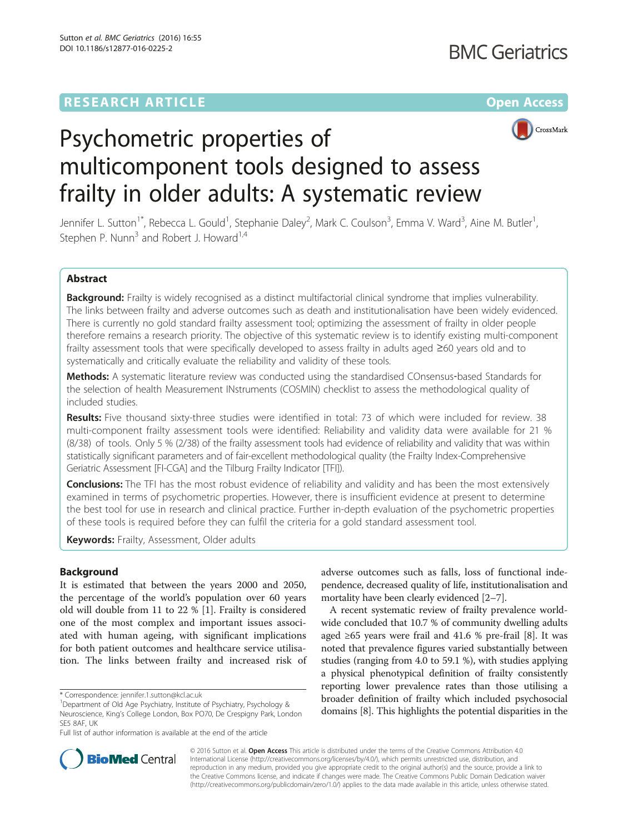# **RESEARCH ARTICLE Example 2014 12:30 The Contract of Contract ACCESS**



# Psychometric properties of multicomponent tools designed to assess frailty in older adults: A systematic review

Jennifer L. Sutton<sup>1\*</sup>, Rebecca L. Gould<sup>1</sup>, Stephanie Daley<sup>2</sup>, Mark C. Coulson<sup>3</sup>, Emma V. Ward<sup>3</sup>, Aine M. Butler<sup>1</sup> , Stephen P. Nunn<sup>3</sup> and Robert J. Howard<sup>1,4</sup>

# Abstract

Background: Frailty is widely recognised as a distinct multifactorial clinical syndrome that implies vulnerability. The links between frailty and adverse outcomes such as death and institutionalisation have been widely evidenced. There is currently no gold standard frailty assessment tool; optimizing the assessment of frailty in older people therefore remains a research priority. The objective of this systematic review is to identify existing multi-component frailty assessment tools that were specifically developed to assess frailty in adults aged ≥60 years old and to systematically and critically evaluate the reliability and validity of these tools.

Methods: A systematic literature review was conducted using the standardised COnsensus-based Standards for the selection of health Measurement INstruments (COSMIN) checklist to assess the methodological quality of included studies.

Results: Five thousand sixty-three studies were identified in total: 73 of which were included for review. 38 multi-component frailty assessment tools were identified: Reliability and validity data were available for 21 % (8/38) of tools. Only 5 % (2/38) of the frailty assessment tools had evidence of reliability and validity that was within statistically significant parameters and of fair-excellent methodological quality (the Frailty Index-Comprehensive Geriatric Assessment [FI-CGA] and the Tilburg Frailty Indicator [TFI]).

**Conclusions:** The TFI has the most robust evidence of reliability and validity and has been the most extensively examined in terms of psychometric properties. However, there is insufficient evidence at present to determine the best tool for use in research and clinical practice. Further in-depth evaluation of the psychometric properties of these tools is required before they can fulfil the criteria for a gold standard assessment tool.

Keywords: Frailty, Assessment, Older adults

# Background

It is estimated that between the years 2000 and 2050, the percentage of the world's population over 60 years old will double from 11 to 22 % [[1](#page-17-0)]. Frailty is considered one of the most complex and important issues associated with human ageing, with significant implications for both patient outcomes and healthcare service utilisation. The links between frailty and increased risk of

Full list of author information is available at the end of the article

adverse outcomes such as falls, loss of functional independence, decreased quality of life, institutionalisation and mortality have been clearly evidenced [\[2](#page-17-0)–[7\]](#page-17-0).

A recent systematic review of frailty prevalence worldwide concluded that 10.7 % of community dwelling adults aged ≥65 years were frail and 41.6 % pre-frail [[8\]](#page-17-0). It was noted that prevalence figures varied substantially between studies (ranging from 4.0 to 59.1 %), with studies applying a physical phenotypical definition of frailty consistently reporting lower prevalence rates than those utilising a broader definition of frailty which included psychosocial domains [\[8](#page-17-0)]. This highlights the potential disparities in the



© 2016 Sutton et al. Open Access This article is distributed under the terms of the Creative Commons Attribution 4.0 International License [\(http://creativecommons.org/licenses/by/4.0/](http://creativecommons.org/licenses/by/4.0/)), which permits unrestricted use, distribution, and reproduction in any medium, provided you give appropriate credit to the original author(s) and the source, provide a link to the Creative Commons license, and indicate if changes were made. The Creative Commons Public Domain Dedication waiver [\(http://creativecommons.org/publicdomain/zero/1.0/](http://creativecommons.org/publicdomain/zero/1.0/)) applies to the data made available in this article, unless otherwise stated.

<sup>\*</sup> Correspondence: [jennifer.1.sutton@kcl.ac.uk](mailto:jennifer.1.sutton@kcl.ac.uk) <sup>1</sup>

<sup>&</sup>lt;sup>1</sup>Department of Old Age Psychiatry, Institute of Psychiatry, Psychology & Neuroscience, King's College London, Box PO70, De Crespigny Park, London SE5 8AF, UK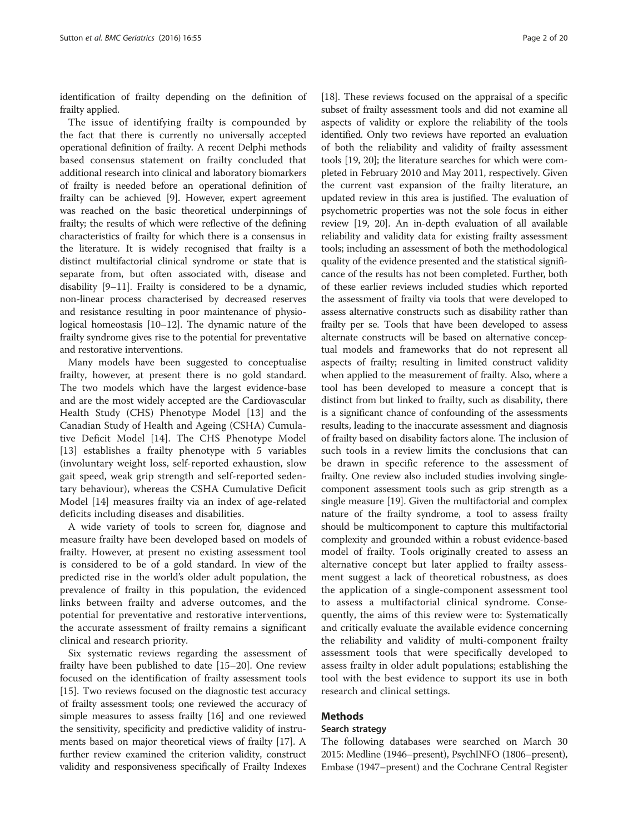identification of frailty depending on the definition of frailty applied.

The issue of identifying frailty is compounded by the fact that there is currently no universally accepted operational definition of frailty. A recent Delphi methods based consensus statement on frailty concluded that additional research into clinical and laboratory biomarkers of frailty is needed before an operational definition of frailty can be achieved [[9\]](#page-17-0). However, expert agreement was reached on the basic theoretical underpinnings of frailty; the results of which were reflective of the defining characteristics of frailty for which there is a consensus in the literature. It is widely recognised that frailty is a distinct multifactorial clinical syndrome or state that is separate from, but often associated with, disease and disability [[9](#page-17-0)–[11](#page-17-0)]. Frailty is considered to be a dynamic, non-linear process characterised by decreased reserves and resistance resulting in poor maintenance of physiological homeostasis [[10](#page-17-0)–[12\]](#page-17-0). The dynamic nature of the frailty syndrome gives rise to the potential for preventative and restorative interventions.

Many models have been suggested to conceptualise frailty, however, at present there is no gold standard. The two models which have the largest evidence-base and are the most widely accepted are the Cardiovascular Health Study (CHS) Phenotype Model [\[13](#page-17-0)] and the Canadian Study of Health and Ageing (CSHA) Cumulative Deficit Model [\[14](#page-17-0)]. The CHS Phenotype Model [[13\]](#page-17-0) establishes a frailty phenotype with 5 variables (involuntary weight loss, self-reported exhaustion, slow gait speed, weak grip strength and self-reported sedentary behaviour), whereas the CSHA Cumulative Deficit Model [\[14](#page-17-0)] measures frailty via an index of age-related deficits including diseases and disabilities.

A wide variety of tools to screen for, diagnose and measure frailty have been developed based on models of frailty. However, at present no existing assessment tool is considered to be of a gold standard. In view of the predicted rise in the world's older adult population, the prevalence of frailty in this population, the evidenced links between frailty and adverse outcomes, and the potential for preventative and restorative interventions, the accurate assessment of frailty remains a significant clinical and research priority.

Six systematic reviews regarding the assessment of frailty have been published to date [\[15](#page-17-0)–[20\]](#page-17-0). One review focused on the identification of frailty assessment tools [[15\]](#page-17-0). Two reviews focused on the diagnostic test accuracy of frailty assessment tools; one reviewed the accuracy of simple measures to assess frailty [[16](#page-17-0)] and one reviewed the sensitivity, specificity and predictive validity of instruments based on major theoretical views of frailty [\[17\]](#page-17-0). A further review examined the criterion validity, construct validity and responsiveness specifically of Frailty Indexes

[[18](#page-17-0)]. These reviews focused on the appraisal of a specific subset of frailty assessment tools and did not examine all aspects of validity or explore the reliability of the tools identified. Only two reviews have reported an evaluation of both the reliability and validity of frailty assessment tools [\[19, 20](#page-17-0)]; the literature searches for which were completed in February 2010 and May 2011, respectively. Given the current vast expansion of the frailty literature, an updated review in this area is justified. The evaluation of psychometric properties was not the sole focus in either review [[19](#page-17-0), [20](#page-17-0)]. An in-depth evaluation of all available reliability and validity data for existing frailty assessment tools; including an assessment of both the methodological quality of the evidence presented and the statistical significance of the results has not been completed. Further, both of these earlier reviews included studies which reported the assessment of frailty via tools that were developed to assess alternative constructs such as disability rather than frailty per se. Tools that have been developed to assess alternate constructs will be based on alternative conceptual models and frameworks that do not represent all aspects of frailty; resulting in limited construct validity when applied to the measurement of frailty. Also, where a tool has been developed to measure a concept that is distinct from but linked to frailty, such as disability, there is a significant chance of confounding of the assessments results, leading to the inaccurate assessment and diagnosis of frailty based on disability factors alone. The inclusion of such tools in a review limits the conclusions that can be drawn in specific reference to the assessment of frailty. One review also included studies involving singlecomponent assessment tools such as grip strength as a single measure [\[19\]](#page-17-0). Given the multifactorial and complex nature of the frailty syndrome, a tool to assess frailty should be multicomponent to capture this multifactorial complexity and grounded within a robust evidence-based model of frailty. Tools originally created to assess an alternative concept but later applied to frailty assessment suggest a lack of theoretical robustness, as does the application of a single-component assessment tool to assess a multifactorial clinical syndrome. Consequently, the aims of this review were to: Systematically and critically evaluate the available evidence concerning the reliability and validity of multi-component frailty assessment tools that were specifically developed to assess frailty in older adult populations; establishing the tool with the best evidence to support its use in both research and clinical settings.

# Methods

# Search strategy

The following databases were searched on March 30 2015: Medline (1946–present), PsychINFO (1806–present), Embase (1947–present) and the Cochrane Central Register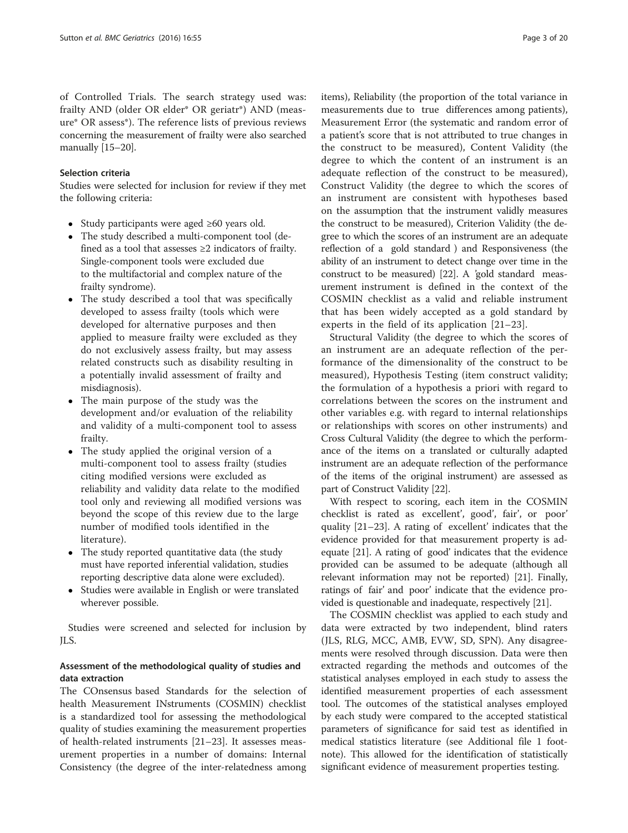of Controlled Trials. The search strategy used was: frailty AND (older OR elder\* OR geriatr\*) AND (measure\* OR assess\*). The reference lists of previous reviews concerning the measurement of frailty were also searched manually [\[15](#page-17-0)–[20](#page-17-0)].

# Selection criteria

Studies were selected for inclusion for review if they met the following criteria:

- Study participants were aged ≥60 years old.
- The study described a multi-component tool (defined as a tool that assesses  $\geq 2$  indicators of frailty. Single-component tools were excluded due to the multifactorial and complex nature of the frailty syndrome).
- The study described a tool that was specifically developed to assess frailty (tools which were developed for alternative purposes and then applied to measure frailty were excluded as they do not exclusively assess frailty, but may assess related constructs such as disability resulting in a potentially invalid assessment of frailty and misdiagnosis).
- The main purpose of the study was the development and/or evaluation of the reliability and validity of a multi-component tool to assess frailty.
- The study applied the original version of a multi-component tool to assess frailty (studies citing modified versions were excluded as reliability and validity data relate to the modified tool only and reviewing all modified versions was beyond the scope of this review due to the large number of modified tools identified in the literature).
- The study reported quantitative data (the study must have reported inferential validation, studies reporting descriptive data alone were excluded).
- Studies were available in English or were translated wherever possible.

Studies were screened and selected for inclusion by JLS.

# Assessment of the methodological quality of studies and data extraction

The COnsensus‐based Standards for the selection of health Measurement INstruments (COSMIN) checklist is a standardized tool for assessing the methodological quality of studies examining the measurement properties of health-related instruments [\[21](#page-17-0)–[23\]](#page-17-0). It assesses measurement properties in a number of domains: Internal Consistency (the degree of the inter-relatedness among

items), Reliability (the proportion of the total variance in measurements due to true differences among patients), Measurement Error (the systematic and random error of a patient's score that is not attributed to true changes in the construct to be measured), Content Validity (the degree to which the content of an instrument is an adequate reflection of the construct to be measured), Construct Validity (the degree to which the scores of an instrument are consistent with hypotheses based on the assumption that the instrument validly measures the construct to be measured), Criterion Validity (the degree to which the scores of an instrument are an adequate reflection of a gold standard ) and Responsiveness (the ability of an instrument to detect change over time in the construct to be measured) [\[22\]](#page-17-0). A 'gold standard measurement instrument is defined in the context of the COSMIN checklist as a valid and reliable instrument that has been widely accepted as a gold standard by experts in the field of its application [[21](#page-17-0)–[23](#page-17-0)].

Structural Validity (the degree to which the scores of an instrument are an adequate reflection of the performance of the dimensionality of the construct to be measured), Hypothesis Testing (item construct validity; the formulation of a hypothesis a priori with regard to correlations between the scores on the instrument and other variables e.g. with regard to internal relationships or relationships with scores on other instruments) and Cross Cultural Validity (the degree to which the performance of the items on a translated or culturally adapted instrument are an adequate reflection of the performance of the items of the original instrument) are assessed as part of Construct Validity [\[22](#page-17-0)].

With respect to scoring, each item in the COSMIN checklist is rated as excellent', good', fair', or poor' quality [[21](#page-17-0)–[23\]](#page-17-0). A rating of excellent' indicates that the evidence provided for that measurement property is adequate [\[21](#page-17-0)]. A rating of good' indicates that the evidence provided can be assumed to be adequate (although all relevant information may not be reported) [[21](#page-17-0)]. Finally, ratings of fair' and poor' indicate that the evidence provided is questionable and inadequate, respectively [\[21](#page-17-0)].

The COSMIN checklist was applied to each study and data were extracted by two independent, blind raters (JLS, RLG, MCC, AMB, EVW, SD, SPN). Any disagreements were resolved through discussion. Data were then extracted regarding the methods and outcomes of the statistical analyses employed in each study to assess the identified measurement properties of each assessment tool. The outcomes of the statistical analyses employed by each study were compared to the accepted statistical parameters of significance for said test as identified in medical statistics literature (see Additional file [1](#page-16-0) footnote). This allowed for the identification of statistically significant evidence of measurement properties testing.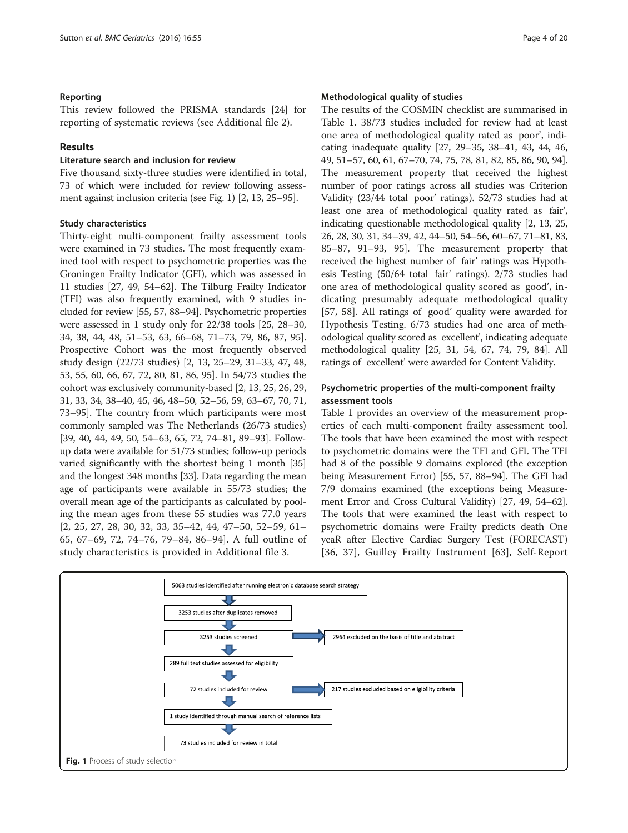# Reporting

This review followed the PRISMA standards [\[24](#page-17-0)] for reporting of systematic reviews (see Additional file [2\)](#page-16-0).

# Results

# Literature search and inclusion for review

Five thousand sixty-three studies were identified in total, 73 of which were included for review following assessment against inclusion criteria (see Fig. 1) [[2, 13, 25](#page-17-0)–[95\]](#page--1-0).

# Study characteristics

Thirty-eight multi-component frailty assessment tools were examined in 73 studies. The most frequently examined tool with respect to psychometric properties was the Groningen Frailty Indicator (GFI), which was assessed in 11 studies [\[27,](#page-17-0) [49, 54](#page-18-0)–[62\]](#page-18-0). The Tilburg Frailty Indicator (TFI) was also frequently examined, with 9 studies included for review [[55, 57, 88](#page-18-0)–[94\]](#page--1-0). Psychometric properties were assessed in 1 study only for 22/38 tools [\[25, 28](#page-17-0)–[30](#page-17-0), [34](#page-17-0), [38](#page-17-0), [44, 48](#page-18-0), [51](#page-18-0)–[53, 63](#page-18-0), [66](#page-18-0)–[68](#page-18-0), [71](#page-18-0)–[73, 79](#page-18-0), [86, 87,](#page-18-0) [95](#page--1-0)]. Prospective Cohort was the most frequently observed study design (22/73 studies) [\[2, 13, 25](#page-17-0)–[29, 31](#page-17-0)–[33](#page-17-0), [47](#page-18-0), [48](#page-18-0), [53](#page-18-0), [55](#page-18-0), [60](#page-18-0), [66](#page-18-0), [67](#page-18-0), [72](#page-18-0), [80](#page-18-0), [81, 86,](#page-18-0) [95\]](#page--1-0). In 54/73 studies the cohort was exclusively community-based [\[2, 13](#page-17-0), [25, 26](#page-17-0), [29](#page-17-0), [31](#page-17-0), [33, 34](#page-17-0), [38](#page-17-0)–[40](#page-17-0), [45](#page-18-0), [46, 48](#page-18-0)–[50, 52](#page-18-0)–[56, 59](#page-18-0), [63](#page-18-0)–[67](#page-18-0), [70, 71](#page-18-0), [73](#page-18-0)–[95\]](#page--1-0). The country from which participants were most commonly sampled was The Netherlands (26/73 studies) [[39](#page-17-0), [40](#page-17-0), [44, 49, 50, 54](#page-18-0)–[63](#page-18-0), [65](#page-18-0), [72, 74](#page-18-0)–[81](#page-18-0), [89](#page-18-0)–[93\]](#page--1-0). Followup data were available for 51/73 studies; follow-up periods varied significantly with the shortest being 1 month [[35](#page-17-0)] and the longest 348 months [[33](#page-17-0)]. Data regarding the mean age of participants were available in 55/73 studies; the overall mean age of the participants as calculated by pooling the mean ages from these 55 studies was 77.0 years [[2, 25, 27](#page-17-0), [28, 30](#page-17-0), [32, 33, 35](#page-17-0)–[42](#page-17-0), [44, 47](#page-18-0)–[50](#page-18-0), [52](#page-18-0)–[59](#page-18-0), [61](#page-18-0)– [65, 67](#page-18-0)–[69, 72](#page-18-0), [74](#page-18-0)–[76](#page-18-0), [79](#page-18-0)–[84](#page-18-0), [86](#page-18-0)–[94](#page--1-0)]. A full outline of study characteristics is provided in Additional file [3](#page-16-0).

# Methodological quality of studies

The results of the COSMIN checklist are summarised in Table [1](#page-4-0). 38/73 studies included for review had at least one area of methodological quality rated as poor', indicating inadequate quality [\[27, 29](#page-17-0)–[35](#page-17-0), [38](#page-17-0)–[41, 43,](#page-17-0) [44](#page-18-0), [46](#page-18-0), [49](#page-18-0), [51](#page-18-0)–[57](#page-18-0), [60, 61](#page-18-0), [67](#page-18-0)–[70](#page-18-0), [74, 75](#page-18-0), [78, 81](#page-18-0), [82](#page-18-0), [85, 86](#page-18-0), [90,](#page-18-0) [94](#page--1-0)]. The measurement property that received the highest number of poor ratings across all studies was Criterion Validity (23/44 total poor' ratings). 52/73 studies had at least one area of methodological quality rated as fair', indicating questionable methodological quality [[2, 13](#page-17-0), [25](#page-17-0), [26](#page-17-0), [28, 30](#page-17-0), [31, 34](#page-17-0)–[39, 42](#page-17-0), [44](#page-18-0)–[50](#page-18-0), [54](#page-18-0)–[56](#page-18-0), [60](#page-18-0)–[67](#page-18-0), [71](#page-18-0)–[81, 83](#page-18-0), [85](#page-18-0)–[87, 91](#page-18-0)–[93](#page--1-0), [95\]](#page--1-0). The measurement property that received the highest number of fair' ratings was Hypothesis Testing (50/64 total fair' ratings). 2/73 studies had one area of methodological quality scored as good', indicating presumably adequate methodological quality [[57](#page-18-0), [58](#page-18-0)]. All ratings of good' quality were awarded for Hypothesis Testing. 6/73 studies had one area of methodological quality scored as excellent', indicating adequate methodological quality [\[25](#page-17-0), [31,](#page-17-0) [54, 67](#page-18-0), [74, 79, 84](#page-18-0)]. All ratings of excellent' were awarded for Content Validity.

# Psychometric properties of the multi-component frailty assessment tools

Table [1](#page-4-0) provides an overview of the measurement properties of each multi-component frailty assessment tool. The tools that have been examined the most with respect to psychometric domains were the TFI and GFI. The TFI had 8 of the possible 9 domains explored (the exception being Measurement Error) [\[55](#page-18-0), [57](#page-18-0), [88](#page-18-0)–[94](#page--1-0)]. The GFI had 7/9 domains examined (the exceptions being Measurement Error and Cross Cultural Validity) [\[27,](#page-17-0) [49](#page-18-0), [54](#page-18-0)–[62](#page-18-0)]. The tools that were examined the least with respect to psychometric domains were Frailty predicts death One yeaR after Elective Cardiac Surgery Test (FORECAST) [[36](#page-17-0), [37\]](#page-17-0), Guilley Frailty Instrument [[63\]](#page-18-0), Self-Report

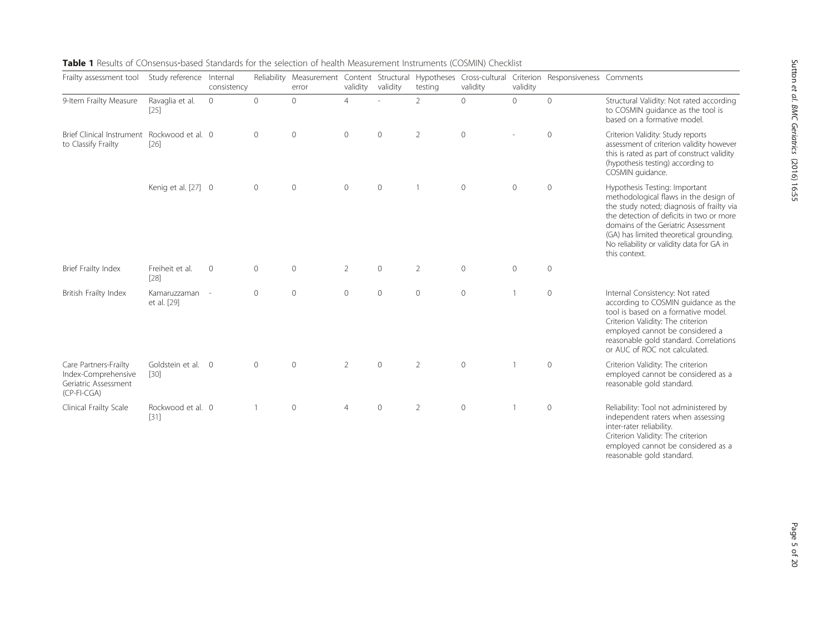<span id="page-4-0"></span>

| Frailty assessment tool                                                             | Study reference              | Internal<br>consistency |              | error        | validity       | validity     | testing        | validity     | validity       | Reliability Measurement Content Structural Hypotheses Cross-cultural Criterion Responsiveness Comments |                                                                                                                                                                                                                                                                                                                 |
|-------------------------------------------------------------------------------------|------------------------------|-------------------------|--------------|--------------|----------------|--------------|----------------|--------------|----------------|--------------------------------------------------------------------------------------------------------|-----------------------------------------------------------------------------------------------------------------------------------------------------------------------------------------------------------------------------------------------------------------------------------------------------------------|
| 9-Item Frailty Measure                                                              | Ravaglia et al.<br>[25]      | $\mathbf{0}$            | $\circ$      | $\Omega$     | $\overline{4}$ |              | 2              | $\Omega$     | $\circ$        | $\Omega$                                                                                               | Structural Validity: Not rated according<br>to COSMIN guidance as the tool is<br>based on a formative model.                                                                                                                                                                                                    |
| Brief Clinical Instrument Rockwood et al. 0<br>to Classify Frailty                  | $[26]$                       |                         | $\mathbf{0}$ | $\circ$      | $\mathbf{0}$   | $\mathbf{0}$ | $\overline{2}$ | $\mathbf 0$  |                | $\mathbf 0$                                                                                            | Criterion Validity: Study reports<br>assessment of criterion validity however<br>this is rated as part of construct validity<br>(hypothesis testing) according to<br>COSMIN quidance.                                                                                                                           |
|                                                                                     | Kenig et al. [27] 0          |                         | $\mathbf{0}$ | $\circ$      | $\mathbf{0}$   | $\mathbf{O}$ |                | $\mathbf{0}$ | $\mathbb O$    | $\mathbf{0}$                                                                                           | Hypothesis Testing: Important<br>methodological flaws in the design of<br>the study noted; diagnosis of frailty via<br>the detection of deficits in two or more<br>domains of the Geriatric Assessment<br>(GA) has limited theoretical grounding.<br>No reliability or validity data for GA in<br>this context. |
| Brief Frailty Index                                                                 | Freiheit et al.<br>$[28]$    | $\mathbf{0}$            | $\mathbf{0}$ | $\circ$      | $\overline{2}$ | $\mathbb O$  | $\overline{2}$ | $\mathbf{0}$ | $\circ$        | $\mathbf 0$                                                                                            |                                                                                                                                                                                                                                                                                                                 |
| British Frailty Index                                                               | Kamaruzzaman<br>et al. [29]  | $\sim$                  | $\mathbf{0}$ | $\circ$      | $\mathbf{0}$   | $\mathbf{O}$ | $\mathbf{0}$   | $\mathbf{0}$ | $\overline{1}$ | $\mathbf{O}$                                                                                           | Internal Consistency: Not rated<br>according to COSMIN guidance as the<br>tool is based on a formative model.<br>Criterion Validity: The criterion<br>employed cannot be considered a<br>reasonable gold standard. Correlations<br>or AUC of ROC not calculated.                                                |
| Care Partners-Frailty<br>Index-Comprehensive<br>Geriatric Assessment<br>(CP-FI-CGA) | Goldstein et al. 0<br>$[30]$ |                         | $\Omega$     | $\Omega$     | 2              | $\Omega$     | $\overline{2}$ | $\mathbf{0}$ |                | $\circ$                                                                                                | Criterion Validity: The criterion<br>employed cannot be considered as a<br>reasonable gold standard.                                                                                                                                                                                                            |
| Clinical Frailty Scale                                                              | Rockwood et al. 0<br>$[31]$  |                         |              | $\mathbf{0}$ | $\overline{4}$ | $\mathbf{0}$ | $\overline{2}$ | $\mathbf 0$  |                | $\mathbb O$                                                                                            | Reliability: Tool not administered by<br>independent raters when assessing<br>inter-rater reliability.<br>Criterion Validity: The criterion                                                                                                                                                                     |

employed cannot be considered as a

reasonable gold standard.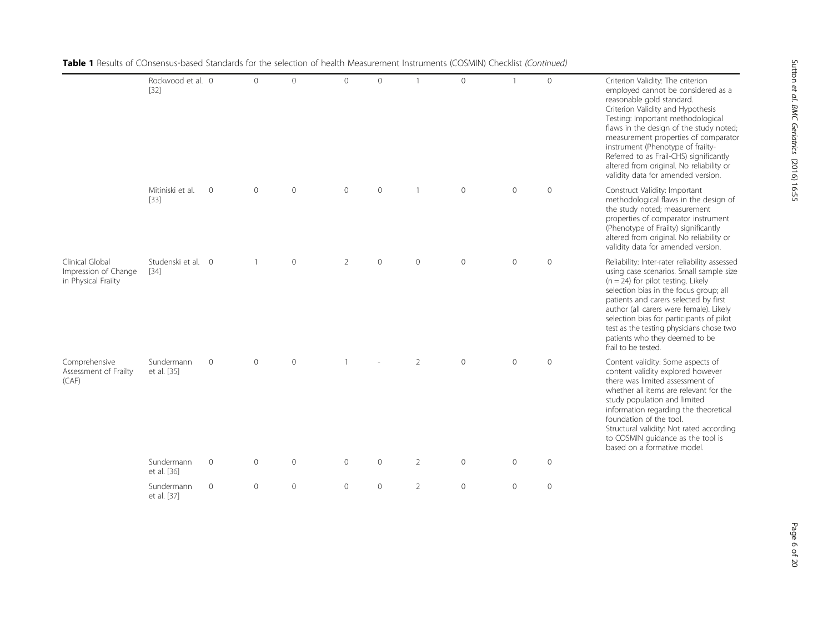|                                                                | Rockwood et al. 0            |              | $\overline{0}$      | $\circ$      | $\mathbf{0}$ | $\circ$      | $\mathbf{1}$   | $\circ$      | $\overline{1}$ | $\mathbf{0}$ | Criterion Validity: The criterion                                                                                                                                                                                                                                                                                                                                                                               |
|----------------------------------------------------------------|------------------------------|--------------|---------------------|--------------|--------------|--------------|----------------|--------------|----------------|--------------|-----------------------------------------------------------------------------------------------------------------------------------------------------------------------------------------------------------------------------------------------------------------------------------------------------------------------------------------------------------------------------------------------------------------|
|                                                                | $[32]$                       |              |                     |              |              |              |                |              |                |              | employed cannot be considered as a<br>reasonable gold standard.<br>Criterion Validity and Hypothesis<br>Testing: Important methodological<br>flaws in the design of the study noted;<br>measurement properties of comparator<br>instrument (Phenotype of frailty-<br>Referred to as Frail-CHS) significantly<br>altered from original. No reliability or<br>validity data for amended version.                  |
|                                                                | Mitiniski et al.<br>$[33]$   | $\mathbf{0}$ | $\circ$             | $\mathbf{0}$ | $\mathbf{0}$ | $\Omega$     |                | $\mathbf{0}$ | $\Omega$       | $\Omega$     | Construct Validity: Important<br>methodological flaws in the design of<br>the study noted; measurement<br>properties of comparator instrument<br>(Phenotype of Frailty) significantly<br>altered from original. No reliability or<br>validity data for amended version.                                                                                                                                         |
| Clinical Global<br>Impression of Change<br>in Physical Frailty | Studenski et al. 0<br>$[34]$ |              | $\overline{1}$      | $\Omega$     | 2            | $\Omega$     | $\mathbf{0}$   | $\mathbf{0}$ | $\Omega$       | $\Omega$     | Reliability: Inter-rater reliability assessed<br>using case scenarios. Small sample size<br>$(n = 24)$ for pilot testing. Likely<br>selection bias in the focus group; all<br>patients and carers selected by first<br>author (all carers were female). Likely<br>selection bias for participants of pilot<br>test as the testing physicians chose two<br>patients who they deemed to be<br>frail to be tested. |
| Comprehensive<br>Assessment of Frailty<br>(CAF)                | Sundermann<br>et al. [35]    | $\mathbf{0}$ | $\overline{0}$      | $\mathbf{0}$ |              |              | $\overline{2}$ | $\mathbf{0}$ | $\Omega$       | $\Omega$     | Content validity: Some aspects of<br>content validity explored however<br>there was limited assessment of<br>whether all items are relevant for the<br>study population and limited<br>information regarding the theoretical<br>foundation of the tool.<br>Structural validity: Not rated according<br>to COSMIN guidance as the tool is<br>based on a formative model.                                         |
|                                                                | Sundermann<br>et al. [36]    | $\mathbf{0}$ | $\mathsf{O}\xspace$ | $\mathbf{0}$ | $\mathbf{0}$ | $\mathbf{0}$ | $\overline{2}$ | $\mathbf{0}$ | $\Omega$       | $\circ$      |                                                                                                                                                                                                                                                                                                                                                                                                                 |
|                                                                | Sundermann<br>et al. [37]    | $\mathbf{0}$ | $\circ$             | $\mathbf{0}$ | $\mathbf{0}$ | $\Omega$     | $\overline{2}$ | $\mathbf{0}$ | $\Omega$       | $\mathbf{0}$ |                                                                                                                                                                                                                                                                                                                                                                                                                 |

Page 6 of 20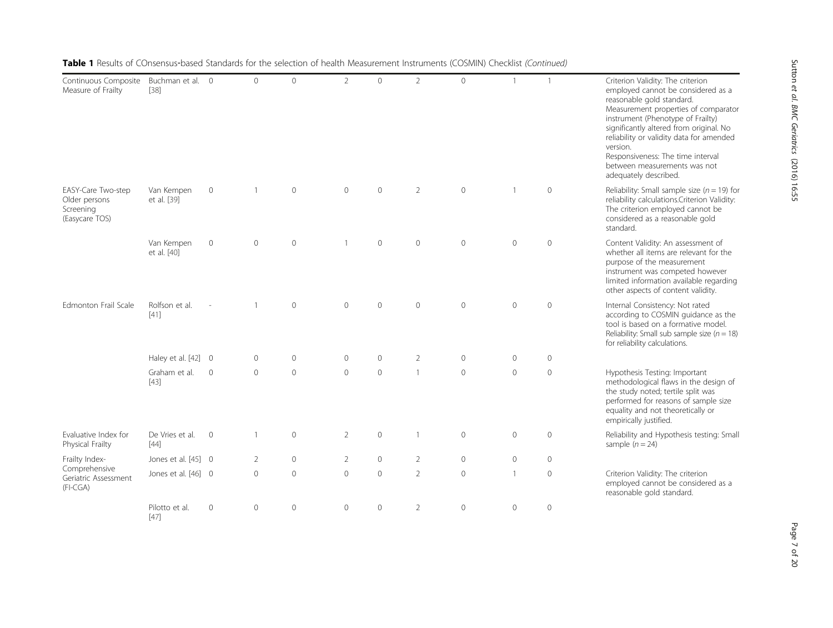| Continuous Composite<br>Measure of Frailty                         | Buchman et al. 0<br>$[38]$ |                | $\Omega$       | $\Omega$     | $\overline{2}$ | $\bigcap$      | 2              | $\Omega$       |                |              | Criterion Validity: The criterion<br>employed cannot be considered as a<br>reasonable gold standard.<br>Measurement properties of comparator<br>instrument (Phenotype of Frailty)<br>significantly altered from original. No<br>reliability or validity data for amended<br>version.<br>Responsiveness: The time interval<br>between measurements was not<br>adequately described. |
|--------------------------------------------------------------------|----------------------------|----------------|----------------|--------------|----------------|----------------|----------------|----------------|----------------|--------------|------------------------------------------------------------------------------------------------------------------------------------------------------------------------------------------------------------------------------------------------------------------------------------------------------------------------------------------------------------------------------------|
| EASY-Care Two-step<br>Older persons<br>Screening<br>(Easycare TOS) | Van Kempen<br>et al. [39]  | $\mathbf{0}$   | $\overline{1}$ | $\mathbf{0}$ | $\mathbf{0}$   | $\overline{0}$ | $\overline{2}$ | $\mathbf{0}$   |                | $\mathbf{0}$ | Reliability: Small sample size ( $n = 19$ ) for<br>reliability calculations.Criterion Validity:<br>The criterion employed cannot be<br>considered as a reasonable gold<br>standard.                                                                                                                                                                                                |
|                                                                    | Van Kempen<br>et al. [40]  | $\overline{0}$ | $\overline{0}$ | $\mathbf{0}$ | $\overline{1}$ | $\Omega$       | $\circ$        | $\circ$        | $\Omega$       | $\Omega$     | Content Validity: An assessment of<br>whether all items are relevant for the<br>purpose of the measurement<br>instrument was competed however<br>limited information available regarding<br>other aspects of content validity.                                                                                                                                                     |
| Edmonton Frail Scale                                               | Rolfson et al.<br>$[41]$   |                |                | $\mathbf{0}$ | $\Omega$       | $\Omega$       | $\Omega$       | $\circ$        | $\Omega$       | $\Omega$     | Internal Consistency: Not rated<br>according to COSMIN guidance as the<br>tool is based on a formative model.<br>Reliability: Small sub sample size ( $n = 18$ )<br>for reliability calculations.                                                                                                                                                                                  |
|                                                                    | Haley et al. [42] 0        |                | $\circ$        | $\mathbf{0}$ | $\mathbf{0}$   | $\circ$        | $\overline{2}$ | $\circ$        | $\circ$        | $\mathbf{0}$ |                                                                                                                                                                                                                                                                                                                                                                                    |
|                                                                    | Graham et al.<br>$[43]$    | $\Omega$       | $\mathbf{0}$   | $\circ$      | $\circ$        | $\Omega$       | $\overline{1}$ | $\overline{0}$ | $\Omega$       | $\Omega$     | Hypothesis Testing: Important<br>methodological flaws in the design of<br>the study noted; tertile split was<br>performed for reasons of sample size<br>equality and not theoretically or<br>empirically justified.                                                                                                                                                                |
| Evaluative Index for<br>Physical Frailty                           | De Vries et al.<br>$[44]$  | $\Omega$       | $\overline{1}$ | $\mathbf{0}$ | 2              | $\overline{0}$ | $\mathbf{1}$   | $\circ$        | $\Omega$       | $\mathbf{0}$ | Reliability and Hypothesis testing: Small<br>sample $(n = 24)$                                                                                                                                                                                                                                                                                                                     |
| Frailty Index-                                                     | Jones et al. [45] 0        |                | $\overline{2}$ | $\mathbf{0}$ | $\overline{2}$ | $\overline{0}$ | $\overline{2}$ | $\circ$        | $\mathbf{0}$   | $\mathbf{0}$ |                                                                                                                                                                                                                                                                                                                                                                                    |
| Comprehensive<br>Geriatric Assessment<br>$(FI-CGA)$                | Jones et al. [46] 0        |                | $\Omega$       | $\Omega$     | $\Omega$       | $\Omega$       | $\overline{2}$ | $\circ$        | $\overline{1}$ | $\mathbf{0}$ | Criterion Validity: The criterion<br>employed cannot be considered as a<br>reasonable gold standard.                                                                                                                                                                                                                                                                               |
|                                                                    | Pilotto et al.<br>[47]     | $\mathbf{0}$   | $\circ$        | $\Omega$     | $\mathbf{0}$   | $\Omega$       | $\overline{2}$ | $\circ$        | $\Omega$       | $\Omega$     |                                                                                                                                                                                                                                                                                                                                                                                    |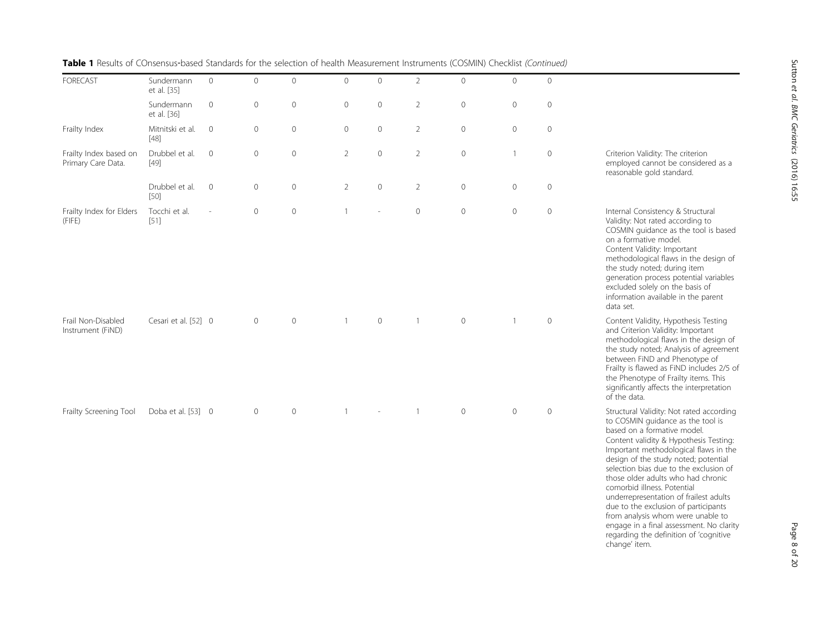| <b>FORECAST</b>                              | Sundermann<br>et al. [35]  | $\overline{0}$ | $\mathbf{0}$   | $\circ$        | $\circ$        | $\circ$        | $\overline{2}$ | $\mathbf 0$  | $\circ$        | $\circ$        |                                                                                                                                                                                                                                                                                                                                                                                                                                                                                                                                                                     |
|----------------------------------------------|----------------------------|----------------|----------------|----------------|----------------|----------------|----------------|--------------|----------------|----------------|---------------------------------------------------------------------------------------------------------------------------------------------------------------------------------------------------------------------------------------------------------------------------------------------------------------------------------------------------------------------------------------------------------------------------------------------------------------------------------------------------------------------------------------------------------------------|
|                                              | Sundermann<br>et al. [36]  | $\mathbf{0}$   | $\mathbb O$    | $\circledcirc$ | $\circ$        | $\mathbf 0$    | $\overline{2}$ | $\mathbf 0$  | $\mathbf 0$    | $\mathbf 0$    |                                                                                                                                                                                                                                                                                                                                                                                                                                                                                                                                                                     |
| Frailty Index                                | Mitnitski et al.<br>$[48]$ | $\mathbf{0}$   | $\mathbb O$    | $\circledcirc$ | $\circ$        | $\mathbf 0$    | $\overline{2}$ | $\mathbf 0$  | $\circ$        | $\circ$        |                                                                                                                                                                                                                                                                                                                                                                                                                                                                                                                                                                     |
| Frailty Index based on<br>Primary Care Data. | Drubbel et al.<br>$[49]$   | $\mathbf{0}$   | $\mathbf 0$    | $\circledcirc$ | $\overline{2}$ | $\mathbf 0$    | $\overline{2}$ | $\mathbf 0$  |                | $\circ$        | Criterion Validity: The criterion<br>employed cannot be considered as a<br>reasonable gold standard.                                                                                                                                                                                                                                                                                                                                                                                                                                                                |
|                                              | Drubbel et al.<br>$[50]$   | $\overline{0}$ | $\circ$        | $\circ$        | $\overline{2}$ | $\mathbf{0}$   | $\overline{2}$ | $\mathbf{0}$ | $\circ$        | $\circ$        |                                                                                                                                                                                                                                                                                                                                                                                                                                                                                                                                                                     |
| Frailty Index for Elders<br>(FIFE)           | Tocchi et al.<br>[51]      |                | $\overline{0}$ | $\circledcirc$ | $\overline{1}$ |                | $\mathbb O$    | $\mathbf 0$  | $\circ$        | $\circ$        | Internal Consistency & Structural<br>Validity: Not rated according to<br>COSMIN guidance as the tool is based<br>on a formative model.<br>Content Validity: Important<br>methodological flaws in the design of<br>the study noted; during item<br>generation process potential variables<br>excluded solely on the basis of<br>information available in the parent<br>data set.                                                                                                                                                                                     |
| Frail Non-Disabled<br>Instrument (FiND)      | Cesari et al. [52] 0       |                | $\mathbb O$    | $\circledcirc$ | $\overline{1}$ | $\overline{0}$ | $\overline{1}$ | $\mathbf 0$  |                | $\circ$        | Content Validity, Hypothesis Testing<br>and Criterion Validity: Important<br>methodological flaws in the design of<br>the study noted; Analysis of agreement<br>between FIND and Phenotype of<br>Frailty is flawed as FiND includes 2/5 of<br>the Phenotype of Frailty items. This<br>significantly affects the interpretation<br>of the data.                                                                                                                                                                                                                      |
| Frailty Screening Tool                       | Doba et al. [53] 0         |                | $\mathbf{O}$   | $\circledcirc$ | $\mathbf{1}$   |                | $\overline{1}$ | $\mathbf 0$  | $\overline{0}$ | $\overline{0}$ | Structural Validity: Not rated according<br>to COSMIN guidance as the tool is<br>based on a formative model.<br>Content validity & Hypothesis Testing:<br>Important methodological flaws in the<br>design of the study noted; potential<br>selection bias due to the exclusion of<br>those older adults who had chronic<br>comorbid illness. Potential<br>underrepresentation of frailest adults<br>due to the exclusion of participants<br>from analysis whom were unable to<br>engage in a final assessment. No clarity<br>regarding the definition of 'cognitive |

change' item.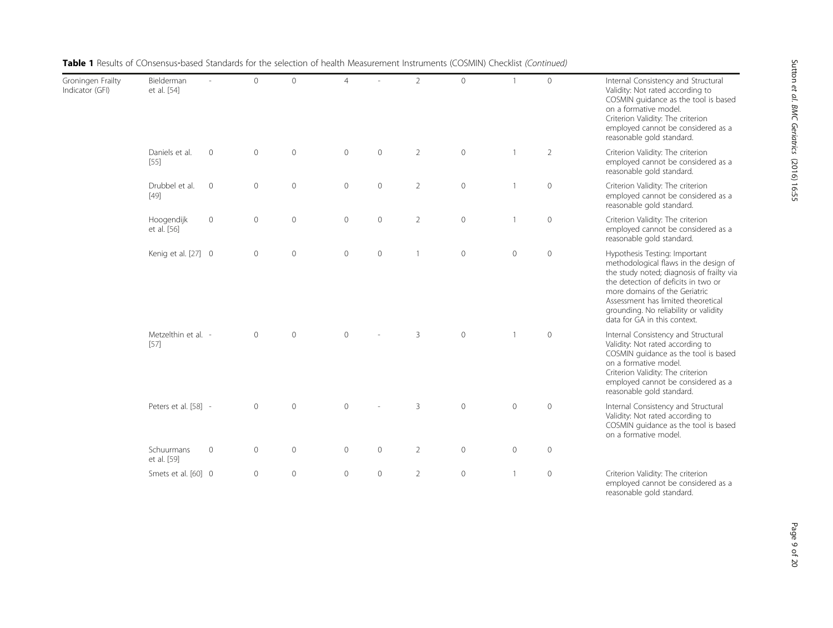| Groningen Frailty<br>Indicator (GFI) | Bielderman<br>et al. [54]     |                     | $\mathbf{0}$   | $\circ$      | $\overline{4}$ |                | $\overline{2}$ | $\circ$      |              | $\mathbf{0}$ | Internal Consistency and Structural<br>Validity: Not rated according to<br>COSMIN guidance as the tool is based<br>on a formative model.<br>Criterion Validity: The criterion<br>employed cannot be considered as a<br>reasonable gold standard.                                                           |
|--------------------------------------|-------------------------------|---------------------|----------------|--------------|----------------|----------------|----------------|--------------|--------------|--------------|------------------------------------------------------------------------------------------------------------------------------------------------------------------------------------------------------------------------------------------------------------------------------------------------------------|
|                                      | Daniels et al.<br>$[55]$      | $\Omega$            | $\overline{0}$ | $\mathbf{0}$ | $\mathbf{O}$   | $\mathbf{0}$   | $\overline{2}$ | $\mathbf 0$  | $\mathbf{1}$ | 2            | Criterion Validity: The criterion<br>employed cannot be considered as a<br>reasonable gold standard.                                                                                                                                                                                                       |
|                                      | Drubbel et al.<br>$[49]$      | $\mathbf{0}$        | $\mathbf 0$    | $\circ$      | $\mathbf 0$    | $\mathbf 0$    | $\overline{2}$ | $\mathbf 0$  | $\mathbf{1}$ | $\circ$      | Criterion Validity: The criterion<br>employed cannot be considered as a<br>reasonable gold standard.                                                                                                                                                                                                       |
|                                      | Hoogendijk<br>et al. [56]     | $\mathsf{O}\xspace$ | $\mathbf 0$    | $\mathbf 0$  | $\mathbb O$    | $\mathbf{0}$   | $\overline{2}$ | $\mathbf 0$  | $\mathbf{1}$ | $\mathbb O$  | Criterion Validity: The criterion<br>employed cannot be considered as a<br>reasonable gold standard.                                                                                                                                                                                                       |
|                                      | Kenig et al. [27] 0           |                     | $\mathbf 0$    | $\circ$      | $\mathbf 0$    | $\mathbf 0$    | $\mathbf{1}$   | $\mathbf 0$  | $\mathbb O$  | $\circ$      | Hypothesis Testing: Important<br>methodological flaws in the design of<br>the study noted; diagnosis of frailty via<br>the detection of deficits in two or<br>more domains of the Geriatric<br>Assessment has limited theoretical<br>grounding. No reliability or validity<br>data for GA in this context. |
|                                      | Metzelthin et al. -<br>$[57]$ |                     | $\mathbf{0}$   | $\mathbf{0}$ | $\mathbf{O}$   |                | 3              | $\mathbf{0}$ | -1           | $\circ$      | Internal Consistency and Structural<br>Validity: Not rated according to<br>COSMIN guidance as the tool is based<br>on a formative model.<br>Criterion Validity: The criterion<br>employed cannot be considered as a<br>reasonable gold standard.                                                           |
|                                      | Peters et al. [58] -          |                     | $\mathbf{0}$   | $\mathbf{0}$ | $\overline{0}$ |                | 3              | $\mathbf{0}$ | $\mathbf 0$  | $\circ$      | Internal Consistency and Structural<br>Validity: Not rated according to<br>COSMIN guidance as the tool is based<br>on a formative model.                                                                                                                                                                   |
|                                      | Schuurmans<br>et al. [59]     | $\mathbf{0}$        | $\mathbf{0}$   | $\mathbf{0}$ | $\mathbf{O}$   | $\mathbf{0}$   | 2              | $\mathbf{0}$ | $\mathbf 0$  | $\mathbf{0}$ |                                                                                                                                                                                                                                                                                                            |
|                                      | Smets et al. [60] 0           |                     | $\mathbf{0}$   | $\mathbf{0}$ | $\mathbf{O}$   | $\overline{0}$ | $\overline{2}$ | $\mathbf{0}$ | $\mathbf{1}$ | $\circ$      | Criterion Validity: The criterion<br>employed cannot be considered as a                                                                                                                                                                                                                                    |

employed cannot be considered as a reasonable gold standard.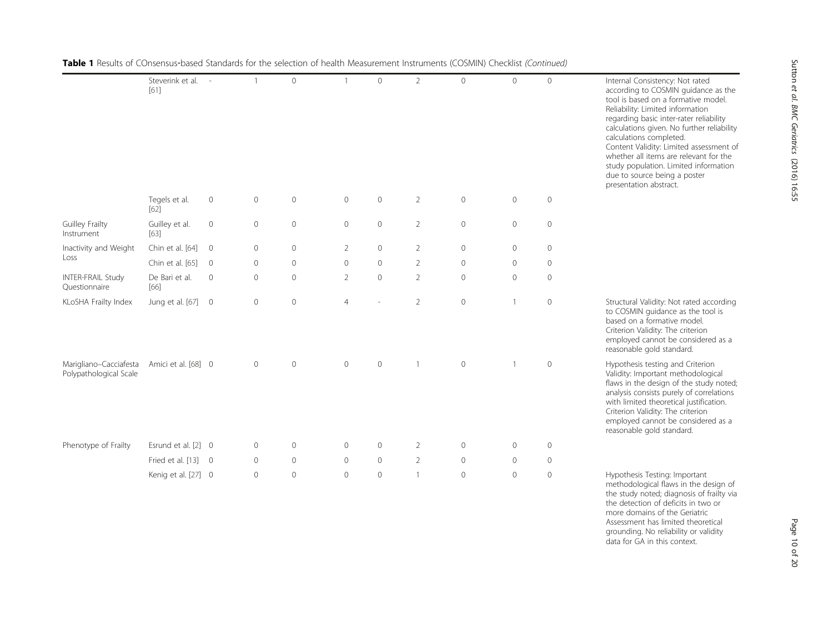|                                                  | Steverink et al.<br>[61] | $\sim$         | $\mathbf{1}$   | $\mathbf{0}$ | $\mathbf{1}$   | $\mathbf{0}$   | $\overline{2}$ | $\mathbf{0}$ | $\mathbf 0$    | $\mathbb O$ | Internal Consistency: Not rated<br>according to COSMIN guidance as the<br>tool is based on a formative model.<br>Reliability: Limited information<br>regarding basic inter-rater reliability<br>calculations given. No further reliability<br>calculations completed.<br>Content Validity: Limited assessment of<br>whether all items are relevant for the<br>study population. Limited information<br>due to source being a poster<br>presentation abstract. |
|--------------------------------------------------|--------------------------|----------------|----------------|--------------|----------------|----------------|----------------|--------------|----------------|-------------|---------------------------------------------------------------------------------------------------------------------------------------------------------------------------------------------------------------------------------------------------------------------------------------------------------------------------------------------------------------------------------------------------------------------------------------------------------------|
|                                                  | Tegels et al.<br>$[62]$  | $\mathbf 0$    | $\circ$        | $\circ$      | $\mathbb O$    | $\mathbf 0$    | $\overline{2}$ | $\mathbf 0$  | $\mathbf 0$    | $\circ$     |                                                                                                                                                                                                                                                                                                                                                                                                                                                               |
| Guilley Frailty<br>Instrument                    | Guilley et al.<br>$[63]$ | $\mathbf 0$    | $\circ$        | $\mathbf{0}$ | $\mathbb O$    | $\mathbf 0$    | $\overline{2}$ | $\mathbf 0$  | $\mathbf 0$    | $\circ$     |                                                                                                                                                                                                                                                                                                                                                                                                                                                               |
| Inactivity and Weight                            | Chin et al. [64]         | $\overline{0}$ | $\mathbf{0}$   | $\circ$      | $\overline{2}$ | $\circ$        | $\overline{2}$ | $\circ$      | $\circ$        | $\circ$     |                                                                                                                                                                                                                                                                                                                                                                                                                                                               |
| Loss                                             | Chin et al. [65]         | $\overline{0}$ | $\mathbf{0}$   | $\circ$      | $\overline{0}$ | $\mathbf{0}$   | $\overline{2}$ | $\mathbf{0}$ | $\mathbf{0}$   | $\circ$     |                                                                                                                                                                                                                                                                                                                                                                                                                                                               |
| <b>INTER-FRAIL Study</b><br>Questionnaire        | De Bari et al.<br>$[66]$ | $\mathbf{0}$   | $\overline{0}$ | $\circ$      | $\overline{2}$ | $\mathbf{0}$   | $\overline{2}$ | $\mathbf 0$  | $\mathbf 0$    | $\circ$     |                                                                                                                                                                                                                                                                                                                                                                                                                                                               |
| KLoSHA Frailty Index                             | Jung et al. [67] 0       |                | $\mathbf{0}$   | $\circ$      | $\overline{4}$ |                | $\overline{2}$ | $\mathbf 0$  | $\overline{1}$ | $\circ$     | Structural Validity: Not rated according<br>to COSMIN guidance as the tool is<br>based on a formative model.<br>Criterion Validity: The criterion<br>employed cannot be considered as a<br>reasonable gold standard.                                                                                                                                                                                                                                          |
| Marigliano-Cacciafesta<br>Polypathological Scale | Amici et al. [68] 0      |                | $\mathbf{0}$   | $\circ$      | $\mathbf{O}$   | $\mathbf{0}$   | $\mathbf{1}$   | $\mathbf 0$  | $\mathbf{1}$   | $\circ$     | Hypothesis testing and Criterion<br>Validity: Important methodological<br>flaws in the design of the study noted;<br>analysis consists purely of correlations<br>with limited theoretical justification.<br>Criterion Validity: The criterion<br>employed cannot be considered as a<br>reasonable gold standard.                                                                                                                                              |
| Phenotype of Frailty                             | Esrund et al. [2] 0      |                | $\mathbf{0}$   | $\mathbf{0}$ | $\circ$        | $\mathbf{0}$   | $\overline{2}$ | $\mathbf{0}$ | $\mathbb O$    | $\mathbb O$ |                                                                                                                                                                                                                                                                                                                                                                                                                                                               |
|                                                  | Fried et al. [13] 0      |                | $\circ$        | $\circ$      | $\circ$        | $\overline{0}$ | $\overline{2}$ | $\circ$      | $\circ$        | $\circ$     |                                                                                                                                                                                                                                                                                                                                                                                                                                                               |
|                                                  | Kenig et al. [27] 0      |                | $\mathbf{0}$   | $\mathbf{0}$ | $\mathbf{0}$   | $\mathbf{0}$   | $\overline{1}$ | $\circ$      | $\circ$        | $\circ$     | Hypothesis Testing: Important<br>methodological flaws in the design of<br>the study noted; diagnosis of frailty via                                                                                                                                                                                                                                                                                                                                           |

the detection of deficits in two or more domains of the Geriatric Assessment has limited theoretical grounding. No reliability or validity data for GA in this context.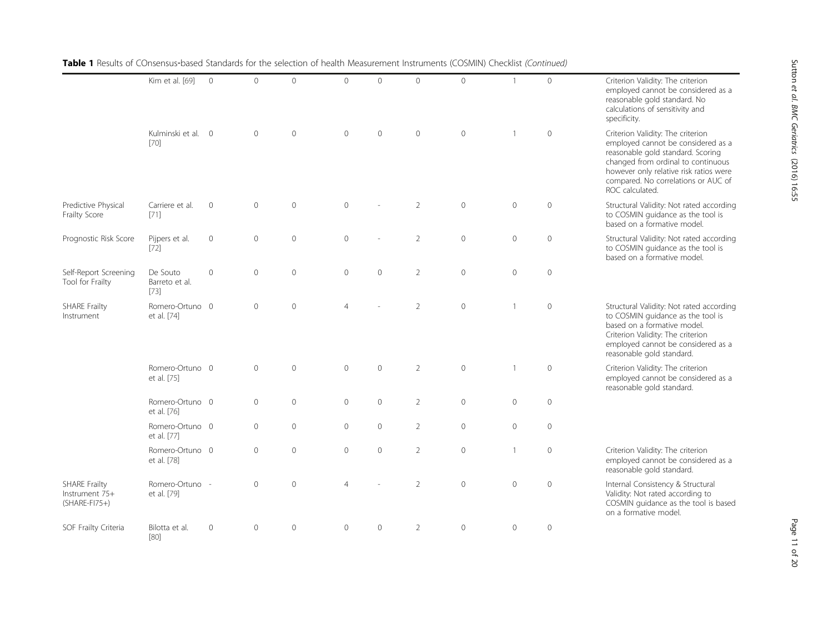|                                                           | Kim et al. [69]                      | $\overline{0}$ | $\circ$        | $\circ$      | $\mathbf{0}$   | $\Omega$     | 0                   | 0              | -1             | $\circ$        | Criterion Validity: The criterion<br>employed cannot be considered as a<br>reasonable gold standard. No<br>calculations of sensitivity and<br>specificity.                                                                                             |
|-----------------------------------------------------------|--------------------------------------|----------------|----------------|--------------|----------------|--------------|---------------------|----------------|----------------|----------------|--------------------------------------------------------------------------------------------------------------------------------------------------------------------------------------------------------------------------------------------------------|
|                                                           | Kulminski et al. 0<br>$[70]$         |                | $\mathbf{0}$   | $\circ$      | $\mathbf 0$    | $\mathbf{0}$ | $\mathsf{O}\xspace$ | $\circ$        |                | $\circ$        | Criterion Validity: The criterion<br>employed cannot be considered as a<br>reasonable gold standard. Scoring<br>changed from ordinal to continuous<br>however only relative risk ratios were<br>compared. No correlations or AUC of<br>ROC calculated. |
| Predictive Physical<br>Frailty Score                      | Carriere et al.<br>[71]              | $\mathbf{0}$   | $\overline{0}$ | $\circ$      | $\mathbf 0$    |              | $\overline{2}$      | $\mathbf 0$    | $\mathbf 0$    | $\circ$        | Structural Validity: Not rated according<br>to COSMIN guidance as the tool is<br>based on a formative model.                                                                                                                                           |
| Prognostic Risk Score                                     | Pijpers et al.<br>$[72]$             | $\circ$        | $\circ$        | $\mathbf{0}$ | $\mathbf 0$    |              | $\overline{2}$      | $\mathbf{0}$   | $\circ$        | $\circ$        | Structural Validity: Not rated according<br>to COSMIN guidance as the tool is<br>based on a formative model.                                                                                                                                           |
| Self-Report Screening<br>Tool for Frailty                 | De Souto<br>Barreto et al.<br>$[73]$ | $\circ$        | $\circ$        | $\mathbf 0$  | $\mathbf 0$    | $\mathbf{0}$ | $\overline{2}$      | 0              | $\circ$        | $\circ$        |                                                                                                                                                                                                                                                        |
| <b>SHARE Frailty</b><br>Instrument                        | Romero-Ortuno 0<br>et al. [74]       |                | $\overline{0}$ | $\circ$      | $\overline{4}$ |              | $\overline{2}$      | $\overline{0}$ | $\mathbf{1}$   | $\circ$        | Structural Validity: Not rated according<br>to COSMIN guidance as the tool is<br>based on a formative model.<br>Criterion Validity: The criterion<br>employed cannot be considered as a<br>reasonable gold standard.                                   |
|                                                           | Romero-Ortuno 0<br>et al. [75]       |                | $\mathbf{0}$   | $\circ$      | $\mathbf 0$    | $\mathbf{0}$ | $\overline{2}$      | $\mathbf{0}$   | $\overline{1}$ | $\circ$        | Criterion Validity: The criterion<br>employed cannot be considered as a<br>reasonable gold standard.                                                                                                                                                   |
|                                                           | Romero-Ortuno 0<br>et al. [76]       |                | $\circ$        | $\circ$      | $\mathbf 0$    | $\circ$      | $\overline{2}$      | $\mathbf{0}$   | $\circ$        | $\circ$        |                                                                                                                                                                                                                                                        |
|                                                           | Romero-Ortuno 0<br>et al. [77]       |                | $\circ$        | $\mathbf{0}$ | $\mathbf 0$    | $\mathbf{0}$ | $\overline{2}$      | $\overline{0}$ | $\overline{0}$ | $\circ$        |                                                                                                                                                                                                                                                        |
|                                                           | Romero-Ortuno 0<br>et al. [78]       |                | $\circ$        | $\circ$      | $\mathbf 0$    | $\mathbf{0}$ | $\overline{2}$      | $\circ$        | $\mathbf{1}$   | $\circ$        | Criterion Validity: The criterion<br>employed cannot be considered as a<br>reasonable gold standard.                                                                                                                                                   |
| <b>SHARE Frailty</b><br>Instrument 75+<br>$(SHARE-FI75+)$ | Romero-Ortuno -<br>et al. [79]       |                | $\circ$        | $\mathbf{0}$ | $\overline{4}$ |              | $\overline{2}$      | $\circ$        | $\circ$        | $\circ$        | Internal Consistency & Structural<br>Validity: Not rated according to<br>COSMIN guidance as the tool is based<br>on a formative model.                                                                                                                 |
| SOF Frailty Criteria                                      | Bilotta et al.<br>$[80]$             | $\mathbf{0}$   | $\mathbf{0}$   | $\Omega$     | $\mathbf{0}$   | $\Omega$     | $\overline{2}$      | $\mathbf{0}$   | 0              | $\overline{0}$ |                                                                                                                                                                                                                                                        |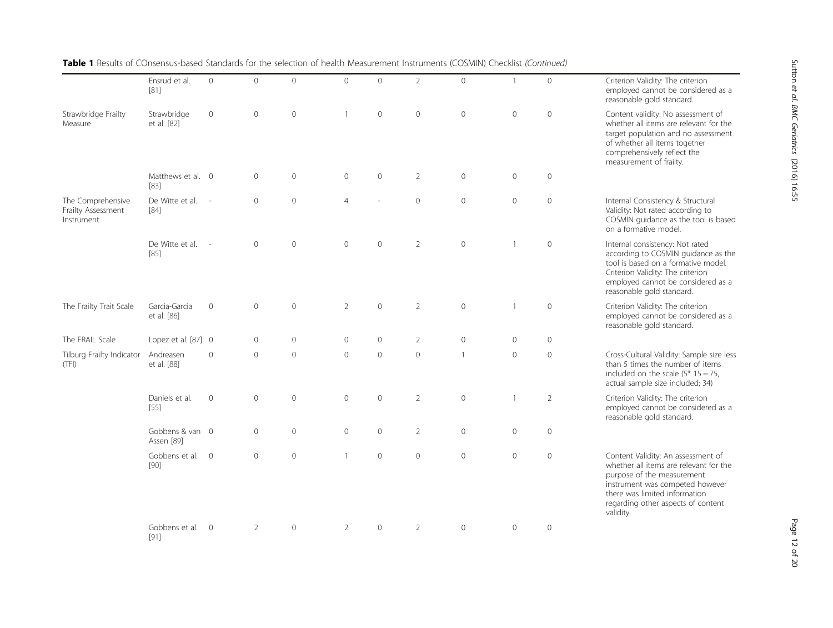|                                                       | Ensrud et al.<br>$[81]$       | $\circ$        | $\overline{0}$ | $\circ$        | $\circ$        | $\circ$        | $\overline{2}$ | $\mathbf{0}$   | $\overline{1}$ | $\circ$        | Criterion Validity: The criterion<br>employed cannot be considered as a<br>reasonable gold standard.                                                                                                                              |
|-------------------------------------------------------|-------------------------------|----------------|----------------|----------------|----------------|----------------|----------------|----------------|----------------|----------------|-----------------------------------------------------------------------------------------------------------------------------------------------------------------------------------------------------------------------------------|
| Strawbridge Frailty<br>Measure                        | Strawbridge<br>et al. [82]    | $\overline{0}$ | $\Omega$       | $\overline{0}$ | $\mathbf{1}$   | $\overline{0}$ | $\mathbf{0}$   | $\mathbf{0}$   | $\overline{0}$ | $\mathbf{O}$   | Content validity: No assessment of<br>whether all items are relevant for the<br>target population and no assessment<br>of whether all items together<br>comprehensively reflect the<br>measurement of frailty.                    |
|                                                       | Matthews et al. 0<br>$[83]$   |                | $\Omega$       | $\overline{0}$ | $\Omega$       | $\overline{0}$ | 2              | $\Omega$       | $\Omega$       | $\overline{0}$ |                                                                                                                                                                                                                                   |
| The Comprehensive<br>Frailty Assessment<br>Instrument | De Witte et al.<br>[84]       |                | $\Omega$       | $\Omega$       | $\overline{4}$ |                | $\Omega$       | $\Omega$       | $\overline{0}$ | $\overline{0}$ | Internal Consistency & Structural<br>Validity: Not rated according to<br>COSMIN guidance as the tool is based<br>on a formative model.                                                                                            |
|                                                       | De Witte et al.<br>$[85]$     | $\sim$ $-$     | $\Omega$       | $\Omega$       | $\Omega$       | $\overline{0}$ | $\overline{2}$ | $\mathbf{0}$   |                | $\mathbb O$    | Internal consistency: Not rated<br>according to COSMIN guidance as the<br>tool is based on a formative model.<br>Criterion Validity: The criterion<br>employed cannot be considered as a<br>reasonable gold standard.             |
| The Frailty Trait Scale                               | Garcia-Garcia<br>et al. [86]  | $\mathbf{0}$   | $\Omega$       | $\overline{0}$ | $\overline{2}$ | $\overline{0}$ | $\overline{2}$ | $\mathbf{0}$   | $\overline{1}$ | $\mathbb O$    | Criterion Validity: The criterion<br>employed cannot be considered as a<br>reasonable gold standard.                                                                                                                              |
| The FRAIL Scale                                       | Lopez et al. [87] 0           |                | $\Omega$       | $\overline{0}$ | $\mathbf{0}$   | $\overline{0}$ | $\overline{2}$ | $\mathbf{0}$   | $\mathbf{0}$   | $\circ$        |                                                                                                                                                                                                                                   |
| Tilburg Frailty Indicator<br>(TFI)                    | Andreasen<br>et al. [88]      | $\Omega$       | $\Omega$       | $\Omega$       | $\Omega$       | $\overline{0}$ | $\Omega$       | $\overline{1}$ | $\Omega$       | $\Omega$       | Cross-Cultural Validity: Sample size less<br>than 5 times the number of items<br>included on the scale $(5*15 = 75)$ .<br>actual sample size included; 34)                                                                        |
|                                                       | Daniels et al.<br>$[55]$      | $\mathbf{0}$   | $\circ$        | 0              | $\mathbf{0}$   | $\overline{0}$ | $\overline{2}$ | $\mathbf 0$    | $\overline{1}$ | $\overline{2}$ | Criterion Validity: The criterion<br>employed cannot be considered as a<br>reasonable gold standard.                                                                                                                              |
|                                                       | Gobbens & van 0<br>Assen [89] |                | $\circ$        | $\overline{0}$ | $\overline{0}$ | $\overline{0}$ | $\overline{2}$ | $\mathbf{0}$   | $\overline{0}$ | $\mathbb O$    |                                                                                                                                                                                                                                   |
|                                                       | Gobbens et al. 0<br>$[90]$    |                | $\Omega$       | $\Omega$       | $\mathbf{1}$   | $\Omega$       | $\Omega$       | $\Omega$       | $\circ$        | $\mathbf{O}$   | Content Validity: An assessment of<br>whether all items are relevant for the<br>purpose of the measurement<br>instrument was competed however<br>there was limited information<br>regarding other aspects of content<br>validity. |
|                                                       | Gobbens et al. 0<br>$[91]$    |                | $\mathcal{P}$  | $\Omega$       | $\mathcal{P}$  | $\Omega$       | $\overline{2}$ | $\Omega$       | $\Omega$       | $\mathbf{0}$   |                                                                                                                                                                                                                                   |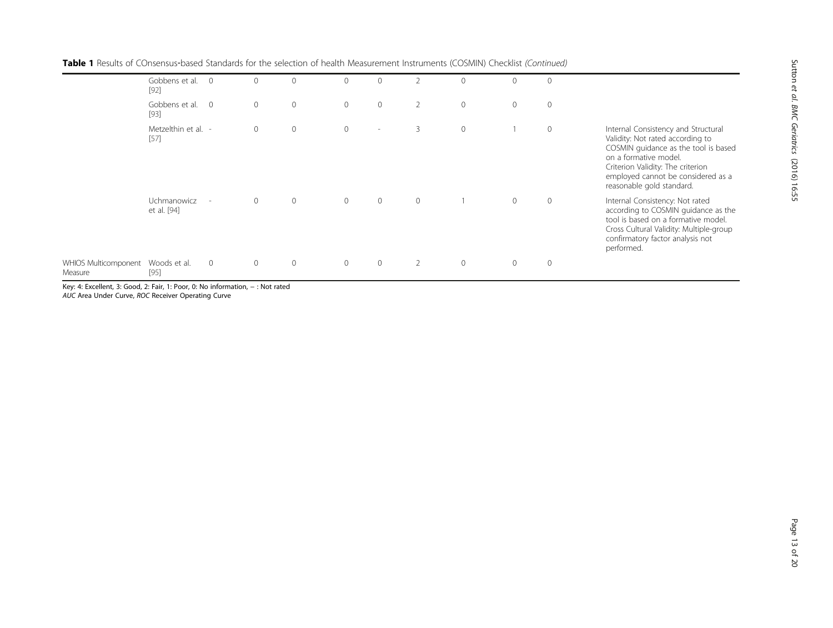|                                 | Gobbens et al. 0<br>$[92]$    |                | $\mathbf{0}$ | $\Omega$     | $\Omega$    | $\Omega$ | 2              | $\mathbf{0}$ | $\Omega$       | $\overline{0}$ |                                                                                                                                                                                                                                                  |
|---------------------------------|-------------------------------|----------------|--------------|--------------|-------------|----------|----------------|--------------|----------------|----------------|--------------------------------------------------------------------------------------------------------------------------------------------------------------------------------------------------------------------------------------------------|
|                                 | Gobbens et al.<br>$[93]$      | $\overline{0}$ | $\circ$      | $\mathbf{0}$ | $\circ$     | $\circ$  | $\overline{2}$ | $\mathbf 0$  | $\circ$        | $\circ$        |                                                                                                                                                                                                                                                  |
|                                 | Metzelthin et al. -<br>$[57]$ |                | $\circ$      | $\mathbf{0}$ | $\mathbf 0$ | $\sim$   | 3              | $\mathbf 0$  |                | $\circ$        | Internal Consistency and Structural<br>Validity: Not rated according to<br>COSMIN guidance as the tool is based<br>on a formative model.<br>Criterion Validity: The criterion<br>employed cannot be considered as a<br>reasonable gold standard. |
|                                 | Uchmanowicz<br>et al. [94]    |                | $\mathbf{0}$ | $\mathbf{0}$ | $\circ$     | $\Omega$ | $\circ$        |              | $\overline{0}$ | $\mathbf{0}$   | Internal Consistency: Not rated<br>according to COSMIN guidance as the<br>tool is based on a formative model.<br>Cross Cultural Validity: Multiple-group<br>confirmatory factor analysis not<br>performed.                                       |
| WHIOS Multicomponent<br>Measure | Woods et al.<br>$[95]$        | $\mathbf{0}$   | $\mathbf{0}$ | $\Omega$     | $\circ$     | $\Omega$ | $\overline{2}$ | $\mathbf{0}$ | $\Omega$       | $\mathbf{0}$   |                                                                                                                                                                                                                                                  |

Table 1 Results of COnsensus-based Standards for the selection of health Measurement Instruments (COSMIN) Checklist (Continued)

Key: 4: Excellent, 3: Good, 2: Fair, 1: Poor, 0: No information, - : Not rated AUC Area Under Curve, ROC Receiver Operating Curve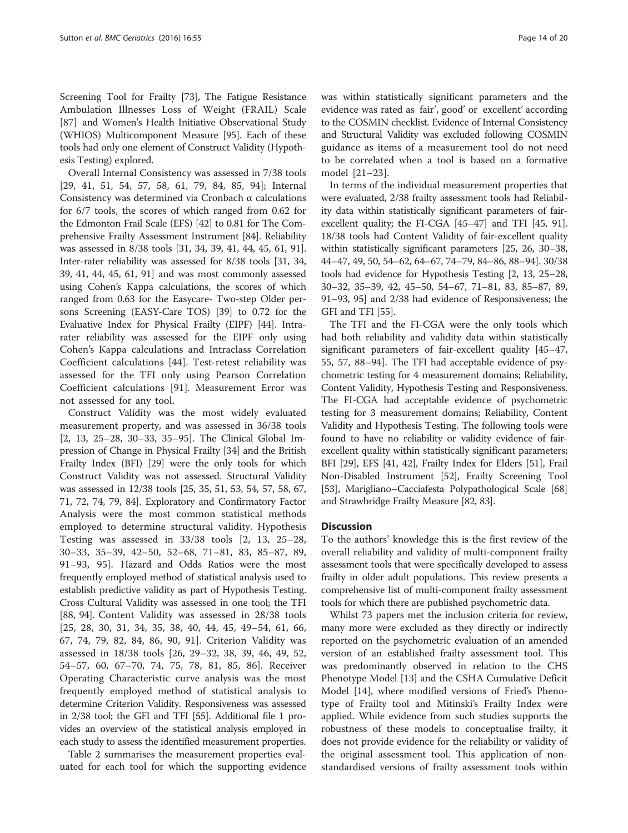Screening Tool for Frailty [[73](#page-18-0)], The Fatigue Resistance Ambulation Illnesses Loss of Weight (FRAIL) Scale [[87\]](#page-18-0) and Women's Health Initiative Observational Study (WHIOS) Multicomponent Measure [[95](#page--1-0)]. Each of these tools had only one element of Construct Validity (Hypothesis Testing) explored.

Overall Internal Consistency was assessed in 7/38 tools [[29, 41](#page-17-0), [51](#page-18-0), [54, 57, 58](#page-18-0), [61](#page-18-0), [79, 84, 85](#page-18-0), [94](#page--1-0)]; Internal Consistency was determined via Cronbach α calculations for 6/7 tools, the scores of which ranged from 0.62 for the Edmonton Frail Scale (EFS) [[42](#page-17-0)] to 0.81 for The Comprehensive Frailty Assessment Instrument [\[84\]](#page-18-0). Reliability was assessed in 8/38 tools [[31](#page-17-0), [34, 39, 41,](#page-17-0) [44, 45](#page-18-0), [61](#page-18-0), [91](#page-18-0)]. Inter-rater reliability was assessed for 8/38 tools [\[31, 34](#page-17-0), [39](#page-17-0), [41,](#page-17-0) [44](#page-18-0), [45, 61](#page-18-0), [91\]](#page-18-0) and was most commonly assessed using Cohen's Kappa calculations, the scores of which ranged from 0.63 for the Easycare- Two-step Older persons Screening (EASY-Care TOS) [[39](#page-17-0)] to 0.72 for the Evaluative Index for Physical Frailty (EIPF) [[44](#page-18-0)]. Intrarater reliability was assessed for the EIPF only using Cohen's Kappa calculations and Intraclass Correlation Coefficient calculations [[44](#page-18-0)]. Test-retest reliability was assessed for the TFI only using Pearson Correlation Coefficient calculations [[91\]](#page-18-0). Measurement Error was not assessed for any tool.

Construct Validity was the most widely evaluated measurement property, and was assessed in 36/38 tools [[2, 13, 25](#page-17-0)–[28](#page-17-0), [30](#page-17-0)–[33, 35](#page-17-0)–[95](#page--1-0)]. The Clinical Global Impression of Change in Physical Frailty [[34\]](#page-17-0) and the British Frailty Index (BFI) [\[29\]](#page-17-0) were the only tools for which Construct Validity was not assessed. Structural Validity was assessed in 12/38 tools [[25, 35](#page-17-0), [51](#page-18-0), [53](#page-18-0), [54](#page-18-0), [57](#page-18-0), [58](#page-18-0), [67](#page-18-0), [71](#page-18-0), [72, 74, 79](#page-18-0), [84\]](#page-18-0). Exploratory and Confirmatory Factor Analysis were the most common statistical methods employed to determine structural validity. Hypothesis Testing was assessed in 33/38 tools [\[2](#page-17-0), [13, 25](#page-17-0)–[28](#page-17-0), [30](#page-17-0)–[33, 35](#page-17-0)–[39, 42](#page-17-0)–[50, 52](#page-18-0)–[68, 71](#page-18-0)–[81, 83, 85](#page-18-0)–[87](#page-18-0), [89](#page-18-0), [91](#page-18-0)–[93, 95\]](#page--1-0). Hazard and Odds Ratios were the most frequently employed method of statistical analysis used to establish predictive validity as part of Hypothesis Testing. Cross Cultural Validity was assessed in one tool; the TFI [[88](#page-18-0), [94\]](#page--1-0). Content Validity was assessed in 28/38 tools [[25, 28, 30, 31, 34](#page-17-0), [35](#page-17-0), [38](#page-17-0), [40](#page-17-0), [44, 45, 49](#page-18-0)–[54, 61, 66](#page-18-0), [67, 74, 79, 82, 84, 86, 90, 91\]](#page-18-0). Criterion Validity was assessed in 18/38 tools [\[26](#page-17-0), [29](#page-17-0)–[32, 38](#page-17-0), [39,](#page-17-0) [46](#page-18-0), [49, 52](#page-18-0), [54](#page-18-0)–[57, 60, 67](#page-18-0)–[70](#page-18-0), [74](#page-18-0), [75](#page-18-0), [78, 81, 85, 86\]](#page-18-0). Receiver Operating Characteristic curve analysis was the most frequently employed method of statistical analysis to determine Criterion Validity. Responsiveness was assessed in 2/38 tool; the GFI and TFI [[55\]](#page-18-0). Additional file [1](#page-16-0) provides an overview of the statistical analysis employed in each study to assess the identified measurement properties.

Table [2](#page-14-0) summarises the measurement properties evaluated for each tool for which the supporting evidence

was within statistically significant parameters and the evidence was rated as fair', good' or excellent' according to the COSMIN checklist. Evidence of Internal Consistency and Structural Validity was excluded following COSMIN guidance as items of a measurement tool do not need to be correlated when a tool is based on a formative model [[21](#page-17-0)–[23\]](#page-17-0).

In terms of the individual measurement properties that were evaluated, 2/38 frailty assessment tools had Reliability data within statistically significant parameters of fairexcellent quality; the FI-CGA [\[45](#page-18-0)–[47](#page-18-0)] and TFI [[45](#page-18-0), [91](#page-18-0)]. 18/38 tools had Content Validity of fair-excellent quality within statistically significant parameters [\[25, 26, 30](#page-17-0)–[38](#page-17-0), [44](#page-18-0)–[47, 49](#page-18-0), [50, 54](#page-18-0)–[62](#page-18-0), [64](#page-18-0)–[67](#page-18-0), [74](#page-18-0)–[79](#page-18-0), [84](#page-18-0)–[86](#page-18-0), [88](#page-18-0)–[94\]](#page--1-0). 30/38 tools had evidence for Hypothesis Testing [\[2, 13](#page-17-0), [25](#page-17-0)–[28](#page-17-0), [30](#page-17-0)–[32, 35](#page-17-0)–[39](#page-17-0), [42,](#page-17-0) [45](#page-18-0)–[50](#page-18-0), [54](#page-18-0)–[67, 71](#page-18-0)–[81](#page-18-0), [83, 85](#page-18-0)–[87](#page-18-0), [89](#page-18-0), [91](#page-18-0)–[93, 95](#page--1-0)] and 2/38 had evidence of Responsiveness; the GFI and TFI [[55](#page-18-0)].

The TFI and the FI-CGA were the only tools which had both reliability and validity data within statistically significant parameters of fair-excellent quality [[45](#page-18-0)–[47](#page-18-0), [55, 57](#page-18-0), [88](#page-18-0)–[94](#page--1-0)]. The TFI had acceptable evidence of psychometric testing for 4 measurement domains; Reliability, Content Validity, Hypothesis Testing and Responsiveness. The FI-CGA had acceptable evidence of psychometric testing for 3 measurement domains; Reliability, Content Validity and Hypothesis Testing. The following tools were found to have no reliability or validity evidence of fairexcellent quality within statistically significant parameters; BFI [\[29](#page-17-0)], EFS [\[41, 42](#page-17-0)], Frailty Index for Elders [\[51\]](#page-18-0), Frail Non-Disabled Instrument [\[52\]](#page-18-0), Frailty Screening Tool [[53](#page-18-0)], Marigliano–Cacciafesta Polypathological Scale [[68](#page-18-0)] and Strawbridge Frailty Measure [[82](#page-18-0), [83\]](#page-18-0).

# **Discussion**

To the authors' knowledge this is the first review of the overall reliability and validity of multi-component frailty assessment tools that were specifically developed to assess frailty in older adult populations. This review presents a comprehensive list of multi-component frailty assessment tools for which there are published psychometric data.

Whilst 73 papers met the inclusion criteria for review, many more were excluded as they directly or indirectly reported on the psychometric evaluation of an amended version of an established frailty assessment tool. This was predominantly observed in relation to the CHS Phenotype Model [[13\]](#page-17-0) and the CSHA Cumulative Deficit Model [[14\]](#page-17-0), where modified versions of Fried's Phenotype of Frailty tool and Mitinski's Frailty Index were applied. While evidence from such studies supports the robustness of these models to conceptualise frailty, it does not provide evidence for the reliability or validity of the original assessment tool. This application of nonstandardised versions of frailty assessment tools within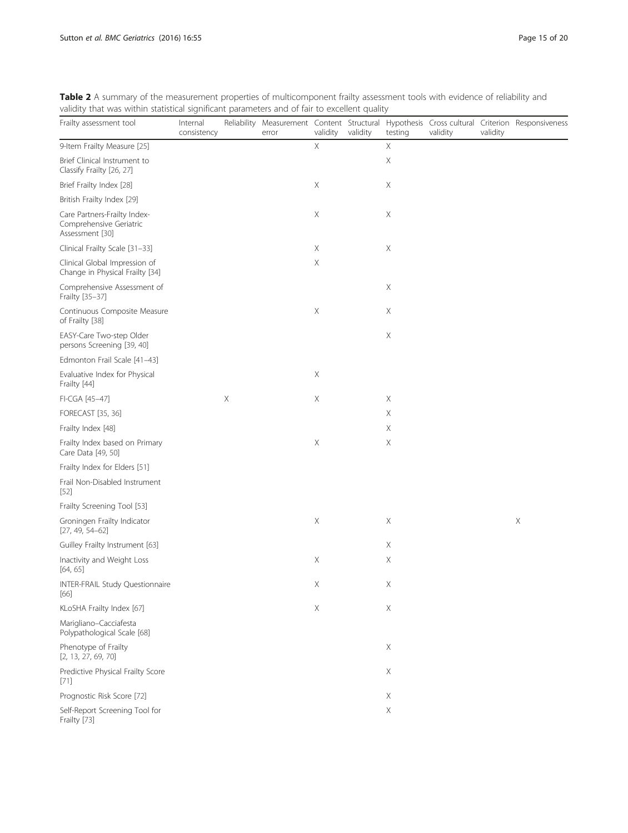<span id="page-14-0"></span>

| Table 2 A summary of the measurement properties of multicomponent frailty assessment tools with evidence of reliability and |  |  |
|-----------------------------------------------------------------------------------------------------------------------------|--|--|
| validity that was within statistical significant parameters and of fair to excellent quality                                |  |  |

| randry that was within statistical significant parameters and or fail to excellent quality |                         |   |       |                       |          |                           |          |          |                                                                                               |
|--------------------------------------------------------------------------------------------|-------------------------|---|-------|-----------------------|----------|---------------------------|----------|----------|-----------------------------------------------------------------------------------------------|
| Frailty assessment tool                                                                    | Internal<br>consistency |   | error | validity              | validity | testing                   | validity | validity | Reliability Measurement Content Structural Hypothesis Cross cultural Criterion Responsiveness |
| 9-Item Frailty Measure [25]                                                                |                         |   |       | $\mathsf X$           |          | Χ                         |          |          |                                                                                               |
| Brief Clinical Instrument to<br>Classify Frailty [26, 27]                                  |                         |   |       |                       |          | $\boldsymbol{\times}$     |          |          |                                                                                               |
| Brief Frailty Index [28]                                                                   |                         |   |       | $\mathsf X$           |          | $\boldsymbol{\times}$     |          |          |                                                                                               |
| British Frailty Index [29]                                                                 |                         |   |       |                       |          |                           |          |          |                                                                                               |
| Care Partners-Frailty Index-<br>Comprehensive Geriatric<br>Assessment [30]                 |                         |   |       | $\mathsf X$           |          | $\mathsf X$               |          |          |                                                                                               |
| Clinical Frailty Scale [31-33]                                                             |                         |   |       | $\mathsf X$           |          | $\mathsf X$               |          |          |                                                                                               |
| Clinical Global Impression of<br>Change in Physical Frailty [34]                           |                         |   |       | Χ                     |          |                           |          |          |                                                                                               |
| Comprehensive Assessment of<br>Frailty [35-37]                                             |                         |   |       |                       |          | $\boldsymbol{\times}$     |          |          |                                                                                               |
| Continuous Composite Measure<br>of Frailty [38]                                            |                         |   |       | $\mathsf X$           |          | $\boldsymbol{\times}$     |          |          |                                                                                               |
| EASY-Care Two-step Older<br>persons Screening [39, 40]                                     |                         |   |       |                       |          | $\mathsf X$               |          |          |                                                                                               |
| Edmonton Frail Scale [41-43]                                                               |                         |   |       |                       |          |                           |          |          |                                                                                               |
| Evaluative Index for Physical<br>Frailty [44]                                              |                         |   |       | $\mathsf X$           |          |                           |          |          |                                                                                               |
| FI-CGA [45-47]                                                                             |                         | Χ |       | $\boldsymbol{\times}$ |          | $\mathsf X$               |          |          |                                                                                               |
| FORECAST [35, 36]                                                                          |                         |   |       |                       |          | $\mathsf X$               |          |          |                                                                                               |
| Frailty Index [48]                                                                         |                         |   |       |                       |          | Χ                         |          |          |                                                                                               |
| Frailty Index based on Primary<br>Care Data [49, 50]                                       |                         |   |       | Χ                     |          | Χ                         |          |          |                                                                                               |
| Frailty Index for Elders [51]                                                              |                         |   |       |                       |          |                           |          |          |                                                                                               |
| Frail Non-Disabled Instrument<br>$[52]$                                                    |                         |   |       |                       |          |                           |          |          |                                                                                               |
| Frailty Screening Tool [53]                                                                |                         |   |       |                       |          |                           |          |          |                                                                                               |
| Groningen Frailty Indicator<br>$[27, 49, 54 - 62]$                                         |                         |   |       | $\mathsf X$           |          | $\boldsymbol{\mathsf{X}}$ |          |          | Χ                                                                                             |
| Guilley Frailty Instrument [63]                                                            |                         |   |       |                       |          | $\boldsymbol{\mathsf{X}}$ |          |          |                                                                                               |
| Inactivity and Weight Loss<br>[64, 65]                                                     |                         |   |       | Χ                     |          | $\mathsf X$               |          |          |                                                                                               |
| INTER-FRAIL Study Questionnaire<br>[66]                                                    |                         |   |       | Χ                     |          | Χ                         |          |          |                                                                                               |
| KLoSHA Frailty Index [67]                                                                  |                         |   |       | X                     |          | $\mathsf X$               |          |          |                                                                                               |
| Marigliano-Cacciafesta<br>Polypathological Scale [68]                                      |                         |   |       |                       |          |                           |          |          |                                                                                               |
| Phenotype of Frailty<br>[2, 13, 27, 69, 70]                                                |                         |   |       |                       |          | $\boldsymbol{\mathsf{X}}$ |          |          |                                                                                               |
| Predictive Physical Frailty Score<br>[71]                                                  |                         |   |       |                       |          | $\boldsymbol{\mathsf{X}}$ |          |          |                                                                                               |
| Prognostic Risk Score [72]                                                                 |                         |   |       |                       |          | Χ                         |          |          |                                                                                               |
| Self-Report Screening Tool for<br>Frailty [73]                                             |                         |   |       |                       |          | $\boldsymbol{\mathsf{X}}$ |          |          |                                                                                               |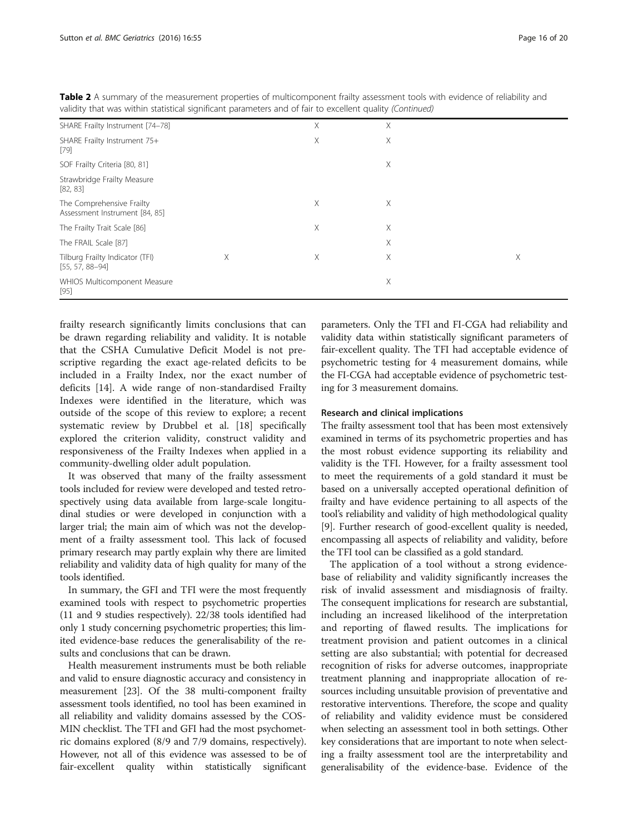| randrey ende mas menin seaesered. Significant parameters and or ran to executive quanty (commaca) |   |          |          |          |
|---------------------------------------------------------------------------------------------------|---|----------|----------|----------|
| SHARE Frailty Instrument [74-78]                                                                  |   | X        | Χ        |          |
| SHARE Frailty Instrument 75+<br>[79]                                                              |   | Χ        | Χ        |          |
| SOF Frailty Criteria [80, 81]                                                                     |   |          | Χ        |          |
| Strawbridge Frailty Measure<br>[82, 83]                                                           |   |          |          |          |
| The Comprehensive Frailty<br>Assessment Instrument [84, 85]                                       |   | $\times$ | $\times$ |          |
| The Frailty Trait Scale [86]                                                                      |   | Χ        | Χ        |          |
| The FRAIL Scale [87]                                                                              |   |          | Χ        |          |
| Tilburg Frailty Indicator (TFI)<br>$[55, 57, 88 - 94]$                                            | X | $\times$ | Χ        | $\times$ |
| WHIOS Multicomponent Measure<br>$[95]$                                                            |   |          | Χ        |          |

Table 2 A summary of the measurement properties of multicomponent frailty assessment tools with evidence of reliability and validity that was within statistical significant parameters and of fair to excellent quality (Continued)

frailty research significantly limits conclusions that can be drawn regarding reliability and validity. It is notable that the CSHA Cumulative Deficit Model is not prescriptive regarding the exact age-related deficits to be included in a Frailty Index, nor the exact number of deficits [[14](#page-17-0)]. A wide range of non-standardised Frailty Indexes were identified in the literature, which was outside of the scope of this review to explore; a recent systematic review by Drubbel et al. [[18\]](#page-17-0) specifically explored the criterion validity, construct validity and responsiveness of the Frailty Indexes when applied in a community-dwelling older adult population.

It was observed that many of the frailty assessment tools included for review were developed and tested retrospectively using data available from large-scale longitudinal studies or were developed in conjunction with a larger trial; the main aim of which was not the development of a frailty assessment tool. This lack of focused primary research may partly explain why there are limited reliability and validity data of high quality for many of the tools identified.

In summary, the GFI and TFI were the most frequently examined tools with respect to psychometric properties (11 and 9 studies respectively). 22/38 tools identified had only 1 study concerning psychometric properties; this limited evidence-base reduces the generalisability of the results and conclusions that can be drawn.

Health measurement instruments must be both reliable and valid to ensure diagnostic accuracy and consistency in measurement [\[23\]](#page-17-0). Of the 38 multi-component frailty assessment tools identified, no tool has been examined in all reliability and validity domains assessed by the COS-MIN checklist. The TFI and GFI had the most psychometric domains explored (8/9 and 7/9 domains, respectively). However, not all of this evidence was assessed to be of fair-excellent quality within statistically significant

parameters. Only the TFI and FI-CGA had reliability and validity data within statistically significant parameters of fair-excellent quality. The TFI had acceptable evidence of psychometric testing for 4 measurement domains, while the FI-CGA had acceptable evidence of psychometric testing for 3 measurement domains.

# Research and clinical implications

The frailty assessment tool that has been most extensively examined in terms of its psychometric properties and has the most robust evidence supporting its reliability and validity is the TFI. However, for a frailty assessment tool to meet the requirements of a gold standard it must be based on a universally accepted operational definition of frailty and have evidence pertaining to all aspects of the tool's reliability and validity of high methodological quality [[9\]](#page-17-0). Further research of good-excellent quality is needed, encompassing all aspects of reliability and validity, before the TFI tool can be classified as a gold standard.

The application of a tool without a strong evidencebase of reliability and validity significantly increases the risk of invalid assessment and misdiagnosis of frailty. The consequent implications for research are substantial, including an increased likelihood of the interpretation and reporting of flawed results. The implications for treatment provision and patient outcomes in a clinical setting are also substantial; with potential for decreased recognition of risks for adverse outcomes, inappropriate treatment planning and inappropriate allocation of resources including unsuitable provision of preventative and restorative interventions. Therefore, the scope and quality of reliability and validity evidence must be considered when selecting an assessment tool in both settings. Other key considerations that are important to note when selecting a frailty assessment tool are the interpretability and generalisability of the evidence-base. Evidence of the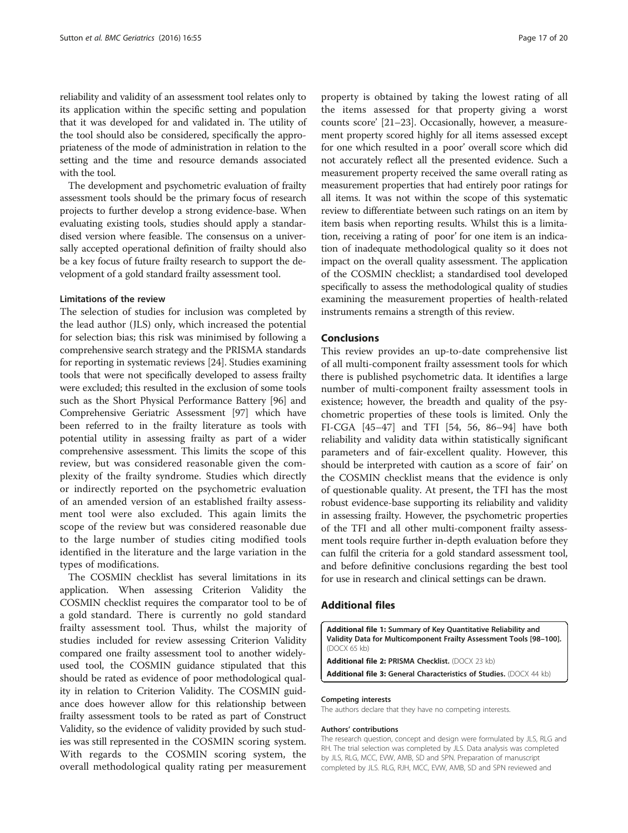<span id="page-16-0"></span>reliability and validity of an assessment tool relates only to its application within the specific setting and population that it was developed for and validated in. The utility of the tool should also be considered, specifically the appropriateness of the mode of administration in relation to the setting and the time and resource demands associated with the tool.

The development and psychometric evaluation of frailty assessment tools should be the primary focus of research projects to further develop a strong evidence-base. When evaluating existing tools, studies should apply a standardised version where feasible. The consensus on a universally accepted operational definition of frailty should also be a key focus of future frailty research to support the development of a gold standard frailty assessment tool.

# Limitations of the review

The selection of studies for inclusion was completed by the lead author (JLS) only, which increased the potential for selection bias; this risk was minimised by following a comprehensive search strategy and the PRISMA standards for reporting in systematic reviews [\[24\]](#page-17-0). Studies examining tools that were not specifically developed to assess frailty were excluded; this resulted in the exclusion of some tools such as the Short Physical Performance Battery [\[96\]](#page--1-0) and Comprehensive Geriatric Assessment [\[97\]](#page--1-0) which have been referred to in the frailty literature as tools with potential utility in assessing frailty as part of a wider comprehensive assessment. This limits the scope of this review, but was considered reasonable given the complexity of the frailty syndrome. Studies which directly or indirectly reported on the psychometric evaluation of an amended version of an established frailty assessment tool were also excluded. This again limits the scope of the review but was considered reasonable due to the large number of studies citing modified tools identified in the literature and the large variation in the types of modifications.

The COSMIN checklist has several limitations in its application. When assessing Criterion Validity the COSMIN checklist requires the comparator tool to be of a gold standard. There is currently no gold standard frailty assessment tool. Thus, whilst the majority of studies included for review assessing Criterion Validity compared one frailty assessment tool to another widelyused tool, the COSMIN guidance stipulated that this should be rated as evidence of poor methodological quality in relation to Criterion Validity. The COSMIN guidance does however allow for this relationship between frailty assessment tools to be rated as part of Construct Validity, so the evidence of validity provided by such studies was still represented in the COSMIN scoring system. With regards to the COSMIN scoring system, the overall methodological quality rating per measurement

property is obtained by taking the lowest rating of all the items assessed for that property giving a worst counts score' [[21](#page-17-0)–[23\]](#page-17-0). Occasionally, however, a measurement property scored highly for all items assessed except for one which resulted in a poor' overall score which did not accurately reflect all the presented evidence. Such a measurement property received the same overall rating as measurement properties that had entirely poor ratings for all items. It was not within the scope of this systematic review to differentiate between such ratings on an item by item basis when reporting results. Whilst this is a limitation, receiving a rating of poor' for one item is an indication of inadequate methodological quality so it does not impact on the overall quality assessment. The application of the COSMIN checklist; a standardised tool developed specifically to assess the methodological quality of studies examining the measurement properties of health-related instruments remains a strength of this review.

# Conclusions

This review provides an up-to-date comprehensive list of all multi-component frailty assessment tools for which there is published psychometric data. It identifies a large number of multi-component frailty assessment tools in existence; however, the breadth and quality of the psychometric properties of these tools is limited. Only the FI-CGA [[45](#page-18-0)–[47](#page-18-0)] and TFI [[54](#page-18-0), [56](#page-18-0), [86](#page-18-0)–[94\]](#page--1-0) have both reliability and validity data within statistically significant parameters and of fair-excellent quality. However, this should be interpreted with caution as a score of fair' on the COSMIN checklist means that the evidence is only of questionable quality. At present, the TFI has the most robust evidence-base supporting its reliability and validity in assessing frailty. However, the psychometric properties of the TFI and all other multi-component frailty assessment tools require further in-depth evaluation before they can fulfil the criteria for a gold standard assessment tool, and before definitive conclusions regarding the best tool for use in research and clinical settings can be drawn.

# Additional files

[Additional file 1:](dx.doi.org/10.1186/s12877-016-0225-2) Summary of Key Quantitative Reliability and Validity Data for Multicomponent Frailty Assessment Tools [[98](#page--1-0)–[100\]](#page--1-0). (DOCX 65 kb)

[Additional file 2:](dx.doi.org/10.1186/s12877-016-0225-2) PRISMA Checklist. (DOCX 23 kb)

[Additional file 3:](dx.doi.org/10.1186/s12877-016-0225-2) General Characteristics of Studies. (DOCX 44 kb)

# Competing interests

The authors declare that they have no competing interests.

#### Authors' contributions

The research question, concept and design were formulated by JLS, RLG and RH. The trial selection was completed by JLS. Data analysis was completed by JLS, RLG, MCC, EVW, AMB, SD and SPN. Preparation of manuscript completed by JLS. RLG, RJH, MCC, EVW, AMB, SD and SPN reviewed and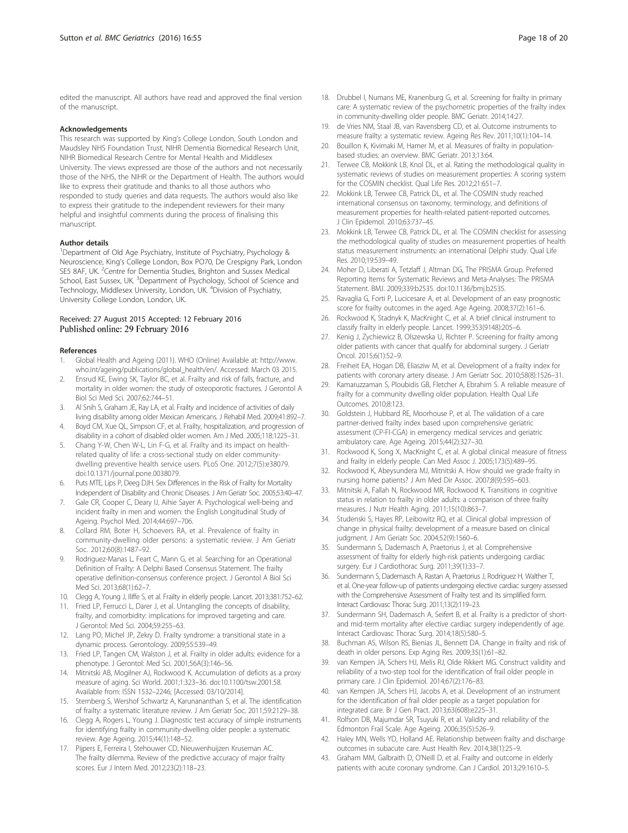<span id="page-17-0"></span>edited the manuscript. All authors have read and approved the final version of the manuscript.

### Acknowledgements

This research was supported by King's College London, South London and Maudsley NHS Foundation Trust, NIHR Dementia Biomedical Research Unit, NIHR Biomedical Research Centre for Mental Health and Middlesex University. The views expressed are those of the authors and not necessarily those of the NHS, the NIHR or the Department of Health. The authors would like to express their gratitude and thanks to all those authors who responded to study queries and data requests. The authors would also like to express their gratitude to the independent reviewers for their many helpful and insightful comments during the process of finalising this manuscript.

# Author details

<sup>1</sup>Department of Old Age Psychiatry, Institute of Psychiatry, Psychology & Neuroscience, King's College London, Box PO70, De Crespigny Park, London SE5 8AF, UK.<sup>2</sup> Centre for Dementia Studies, Brighton and Sussex Medical School, East Sussex, UK. <sup>3</sup>Department of Psychology, School of Science and Technology, Middlesex University, London, UK. <sup>4</sup>Division of Psychiatry, University College London, London, UK.

# Received: 27 August 2015 Accepted: 12 February 2016 Published online: 29 February 2016

# References

- 1. Global Health and Ageing (2011). WHO (Online) Available at: [http://www.](http://www.who.int/ageing/publications/global_health/en/) [who.int/ageing/publications/global\\_health/en/.](http://www.who.int/ageing/publications/global_health/en/) Accessed: March 03 2015.
- 2. Ensrud KE, Ewing SK, Taylor BC, et al. Frailty and risk of falls, fracture, and mortality in older women: the study of osteoporotic fractures. J Gerontol A Biol Sci Med Sci. 2007;62:744–51.
- 3. Al Snih S, Graham JE, Ray LA, et al. Frailty and incidence of activities of daily living disability among older Mexican Americans. J Rehabil Med. 2009;41:892–7.
- 4. Boyd CM, Xue QL, Simpson CF, et al. Frailty, hospitalization, and progression of disability in a cohort of disabled older women. Am J Med. 2005;118:1225–31.
- 5. Chang Y-W, Chen W-L, Lin F-G, et al. Frailty and its impact on healthrelated quality of life: a cross-sectional study on elder communitydwelling preventive health service users. PLoS One. 2012;7(5):e38079. doi[:10.1371/journal.pone.0038079.](http://dx.doi.org/10.1371/journal.pone.0038079)
- Puts MTE, Lips P, Deeg DJH. Sex Differences in the Risk of Frailty for Mortality Independent of Disability and Chronic Diseases. J Am Geriatr Soc. 2005;53:40–47.
- 7. Gale CR, Cooper C, Deary IJ, Aihie Sayer A. Psychological well-being and incident frailty in men and women: the English Longitudinal Study of Ageing. Psychol Med. 2014;44:697–706.
- Collard RM, Boter H, Schoevers RA, et al. Prevalence of frailty in community-dwelling older persons: a systematic review. J Am Geriatr Soc. 2012;60(8):1487–92.
- 9. Rodriguez-Manas L, Feart C, Mann G, et al. Searching for an Operational Definition of Frailty: A Delphi Based Consensus Statement. The frailty operative definition-consensus conference project. J Gerontol A Biol Sci Med Sci. 2013;68(1):62–7.
- 10. Clegg A, Young J, Iliffe S, et al. Frailty in elderly people. Lancet. 2013;381:752–62.
- 11. Fried LP, Ferrucci L, Darer J, et al. Untangling the concepts of disability, frailty, and comorbidity: implications for improved targeting and care. J Gerontol: Med Sci. 2004;59:255–63.
- 12. Lang PO, Michel JP, Zekry D. Frailty syndrome: a transitional state in a dynamic process. Gerontology. 2009;55:539–49.
- 13. Fried LP, Tangen CM, Walston J, et al. Frailty in older adults: evidence for a phenotype. J Gerontol: Med Sci. 2001;56A(3):146–56.
- 14. Mitnitski AB, Mogilner AJ, Rockwood K. Accumulation of deficits as a proxy measure of aging. Sci World. 2001;1:323–36. doi[:10.1100/tsw.2001.58](http://dx.doi.org/10.1100/tsw.2001.58). Available from: ISSN 1532–2246; [Accessed: 03/10/2014].
- 15. Sternberg S, Wershof Schwartz A, Karunananthan S, et al. The identification of frailty: a systematic literature review. J Am Geriatr Soc. 2011;59:2129–38.
- 16. Clegg A, Rogers L, Young J. Diagnostic test accuracy of simple instruments for identifying frailty in community-dwelling older people: a systematic review. Age Ageing. 2015;44(1):148–52.
- 17. Pijpers E, Ferreira I, Stehouwer CD, Nieuwenhuijzen Kruseman AC. The frailty dilemma. Review of the predictive accuracy of major frailty scores. Eur J Intern Med. 2012;23(2):118–23.
- 18. Drubbel I, Numans ME, Kranenburg G, et al. Screening for frailty in primary care: A systematic review of the psychometric properties of the frailty index in community-dwelling older people. BMC Geriatr. 2014;14:27.
- 19. de Vries NM, Staal JB, van Ravensberg CD, et al. Outcome instruments to measure frailty: a systematic review. Ageing Res Rev. 2011;10(1):104–14.
- 20. Bouillon K, Kivimaki M, Hamer M, et al. Measures of frailty in populationbased studies: an overview. BMC Geriatr. 2013;13:64.
- 21. Terwee CB, Mokkink LB, Knol DL, et al. Rating the methodological quality in systematic reviews of studies on measurement properties: A scoring system for the COSMIN checklist. Qual Life Res. 2012;21:651–7.
- 22. Mokkink LB, Terwee CB, Patrick DL, et al. The COSMIN study reached international consensus on taxonomy, terminology, and definitions of measurement properties for health-related patient-reported outcomes. J Clin Epidemol. 2010;63:737–45.
- 23. Mokkink LB, Terwee CB, Patrick DL, et al. The COSMIN checklist for assessing the methodological quality of studies on measurement properties of health status measurement instruments: an international Delphi study. Qual Life Res. 2010;19:539–49.
- 24. Moher D, Liberati A, Tetzlaff J, Altman DG, The PRISMA Group. Preferred Reporting Items for Systematic Reviews and Meta-Analyses: The PRISMA Statement. BMJ. 2009;339:b2535. doi:[10.1136/bmj.b2535.](http://dx.doi.org/10.1136/bmj.b2535)
- 25. Ravaglia G, Forti P, Lucicesare A, et al. Development of an easy prognostic score for frailty outcomes in the aged. Age Ageing. 2008;37(2):161–6.
- 26. Rockwood K, Stadnyk K, MacKnight C, et al. A brief clinical instrument to classify frailty in elderly people. Lancet. 1999;353(9148):205–6.
- 27. Kenig J, Zychiewicz B, Olszewska U, Richter P. Screening for frailty among older patients with cancer that qualify for abdominal surgery. J Geriatr Oncol. 2015;6(1):52–9.
- 28. Freiheit EA, Hogan DB, Eliasziw M, et al. Development of a frailty index for patients with coronary artery disease. J Am Geriatr Soc. 2010;58(8):1526–31.
- 29. Kamaruzzaman S, Ploubidis GB, Fletcher A, Ebrahim S. A reliable measure of frailty for a community dwelling older population. Health Qual Life Outcomes. 2010;8:123.
- 30. Goldstein J, Hubbard RE, Moorhouse P, et al. The validation of a care partner-derived frailty index based upon comprehensive geriatric assessment (CP-FI-CGA) in emergency medical services and geriatric ambulatory care. Age Ageing. 2015;44(2):327–30.
- 31. Rockwood K, Song X, MacKnight C, et al. A global clinical measure of fitness and frailty in elderly people. Can Med Assoc J. 2005;173(5):489–95.
- 32. Rockwood K, Abeysundera MJ, Mitnitski A. How should we grade frailty in nursing home patients? J Am Med Dir Assoc. 2007;8(9):595–603.
- 33. Mitnitski A, Fallah N, Rockwood MR, Rockwood K. Transitions in cognitive status in relation to frailty in older adults: a comparison of three frailty measures. J Nutr Health Aging. 2011;15(10):863–7.
- 34. Studenski S, Hayes RP, Leibowitz RQ, et al. Clinical global impression of change in physical frailty: development of a measure based on clinical judgment. J Am Geriatr Soc. 2004;52(9):1560–6.
- 35. Sundermann S, Dademasch A, Praetorius J, et al. Comprehensive assessment of frailty for elderly high-risk patients undergoing cardiac surgery. Eur J Cardiothorac Surg. 2011;39(1):33–7.
- 36. Sundermann S, Dademasch A, Rastan A, Praetorius J, Rodriguez H, Walther T, et al. One-year follow-up of patients undergoing elective cardiac surgery assessed with the Comprehensive Assessment of Frailty test and its simplified form. Interact Cardiovasc Thorac Surg. 2011;13(2):119–23.
- 37. Sundermann SH, Dademasch A, Seifert B, et al. Frailty is a predictor of shortand mid-term mortality after elective cardiac surgery independently of age. Interact Cardiovasc Thorac Surg. 2014;18(5):580–5.
- 38. Buchman AS, Wilson RS, Bienias JL, Bennett DA. Change in frailty and risk of death in older persons. Exp Aging Res. 2009;35(1):61–82.
- 39. van Kempen JA, Schers HJ, Melis RJ, Olde Rikkert MG. Construct validity and reliability of a two-step tool for the identification of frail older people in primary care. J Clin Epidemiol. 2014;67(2):176–83.
- 40. van Kempen JA, Schers HJ, Jacobs A, et al. Development of an instrument for the identification of frail older people as a target population for integrated care. Br J Gen Pract. 2013;63(608):e225–31.
- 41. Rolfson DB, Majumdar SR, Tsuyuki R, et al. Validity and reliability of the Edmonton Frail Scale. Age Ageing. 2006;35(5):526–9.
- 42. Haley MN, Wells YD, Holland AE. Relationship between frailty and discharge outcomes in subacute care. Aust Health Rev. 2014;38(1):25–9.
- 43. Graham MM, Galbraith D, O'Neill D, et al. Frailty and outcome in elderly patients with acute coronary syndrome. Can J Cardiol. 2013;29:1610–5.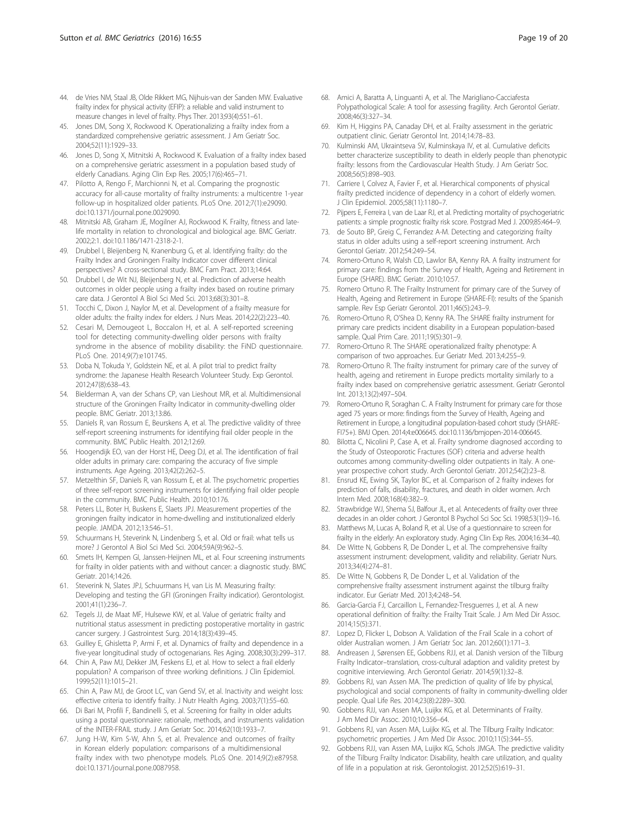- <span id="page-18-0"></span>44. de Vries NM, Staal JB, Olde Rikkert MG, Nijhuis-van der Sanden MW. Evaluative frailty index for physical activity (EFIP): a reliable and valid instrument to measure changes in level of frailty. Phys Ther. 2013;93(4):551–61.
- 45. Jones DM, Song X, Rockwood K. Operationalizing a frailty index from a standardized comprehensive geriatric assessment. J Am Geriatr Soc. 2004;52(11):1929–33.
- 46. Jones D, Song X, Mitnitski A, Rockwood K. Evaluation of a frailty index based on a comprehensive geriatric assessment in a population based study of elderly Canadians. Aging Clin Exp Res. 2005;17(6):465–71.
- 47. Pilotto A, Rengo F, Marchionni N, et al. Comparing the prognostic accuracy for all-cause mortality of frailty instruments: a multicentre 1-year follow-up in hospitalized older patients. PLoS One. 2012;7(1):e29090. doi[:10.1371/journal.pone.0029090.](http://dx.doi.org/10.1371/journal.pone.0029090)
- 48. Mitnitski AB, Graham JE, Mogilner AJ, Rockwood K. Frailty, fitness and latelife mortality in relation to chronological and biological age. BMC Geriatr. 2002;2:1. doi[:10.1186/1471-2318-2-1.](http://dx.doi.org/10.1186/1471-2318-2-1)
- 49. Drubbel I, Bleijenberg N, Kranenburg G, et al. Identifying frailty: do the Frailty Index and Groningen Frailty Indicator cover different clinical perspectives? A cross-sectional study. BMC Fam Pract. 2013;14:64.
- 50. Drubbel I, de Wit NJ, Bleijenberg N, et al. Prediction of adverse health outcomes in older people using a frailty index based on routine primary care data. J Gerontol A Biol Sci Med Sci. 2013;68(3):301–8.
- 51. Tocchi C, Dixon J, Naylor M, et al. Development of a frailty measure for older adults: the frailty index for elders. J Nurs Meas. 2014;22(2):223–40.
- 52. Cesari M, Demougeot L, Boccalon H, et al. A self-reported screening tool for detecting community-dwelling older persons with frailty syndrome in the absence of mobility disability: the FiND questionnaire. PLoS One. 2014;9(7):e101745.
- 53. Doba N, Tokuda Y, Goldstein NE, et al. A pilot trial to predict frailty syndrome: the Japanese Health Research Volunteer Study. Exp Gerontol. 2012;47(8):638–43.
- 54. Bielderman A, van der Schans CP, van Lieshout MR, et al. Multidimensional structure of the Groningen Frailty Indicator in community-dwelling older people. BMC Geriatr. 2013;13:86.
- 55. Daniels R, van Rossum E, Beurskens A, et al. The predictive validity of three self-report screening instruments for identifying frail older people in the community. BMC Public Health. 2012;12:69.
- 56. Hoogendijk EO, van der Horst HE, Deeg DJ, et al. The identification of frail older adults in primary care: comparing the accuracy of five simple instruments. Age Ageing. 2013;42(2):262–5.
- 57. Metzelthin SF, Daniels R, van Rossum E, et al. The psychometric properties of three self-report screening instruments for identifying frail older people in the community. BMC Public Health. 2010;10:176.
- 58. Peters LL, Boter H, Buskens E, Slaets JPJ. Measurement properties of the groningen frailty indicator in home-dwelling and institutionalized elderly people. JAMDA. 2012;13:546–51.
- Schuurmans H, Steverink N, Lindenberg S, et al. Old or frail: what tells us more? J Gerontol A Biol Sci Med Sci. 2004;59A(9):962–5.
- 60. Smets IH, Kempen GI, Janssen-Heijnen ML, et al. Four screening instruments for frailty in older patients with and without cancer: a diagnostic study. BMC Geriatr. 2014;14:26.
- 61. Steverink N, Slates JPJ, Schuurmans H, van Lis M. Measuring frailty: Developing and testing the GFI (Groningen Frailty indicatior). Gerontologist. 2001;41(1):236–7.
- 62. Tegels JJ, de Maat MF, Hulsewe KW, et al. Value of geriatric frailty and nutritional status assessment in predicting postoperative mortality in gastric cancer surgery. J Gastrointest Surg. 2014;18(3):439–45.
- 63. Guilley E, Ghisletta P, Armi F, et al. Dynamics of frailty and dependence in a five-year longitudinal study of octogenarians. Res Aging. 2008;30(3):299–317.
- 64. Chin A, Paw MJ, Dekker JM, Feskens EJ, et al. How to select a frail elderly population? A comparison of three working definitions. J Clin Epidemiol. 1999;52(11):1015–21.
- 65. Chin A, Paw MJ, de Groot LC, van Gend SV, et al. Inactivity and weight loss: effective criteria to identify frailty. J Nutr Health Aging. 2003;7(1):55–60.
- Di Bari M, Profili F, Bandinelli S, et al. Screening for frailty in older adults using a postal questionnaire: rationale, methods, and instruments validation of the INTER-FRAIL study. J Am Geriatr Soc. 2014;62(10):1933–7.
- 67. Jung H-W, Kim S-W, Ahn S, et al. Prevalence and outcomes of frailty in Korean elderly population: comparisons of a multidimensional frailty index with two phenotype models. PLoS One. 2014;9(2):e87958. doi[:10.1371/journal.pone.0087958.](http://dx.doi.org/10.1371/journal.pone.0087958)
- 68. Amici A, Baratta A, Linguanti A, et al. The Marigliano-Cacciafesta Polypathological Scale: A tool for assessing fragility. Arch Gerontol Geriatr. 2008;46(3):327–34.
- 69. Kim H, Higgins PA, Canaday DH, et al. Frailty assessment in the geriatric outpatient clinic. Geriatr Gerontol Int. 2014;14:78–83.
- 70. Kulminski AM, Ukraintseva SV, Kulminskaya IV, et al. Cumulative deficits better characterize susceptibility to death in elderly people than phenotypic frailty: lessons from the Cardiovascular Health Study. J Am Geriatr Soc. 2008;56(5):898–903.
- 71. Carriere I, Colvez A, Favier F, et al. Hierarchical components of physical frailty predicted incidence of dependency in a cohort of elderly women. J Clin Epidemiol. 2005;58(11):1180–7.
- 72. Pijpers E, Ferreira I, van de Laar RJ, et al. Predicting mortality of psychogeriatric patients: a simple prognostic frailty risk score. Postgrad Med J. 2009;85:464–9.
- 73. de Souto BP, Greig C, Ferrandez A-M. Detecting and categorizing frailty status in older adults using a self-report screening instrument. Arch Gerontol Geriatr. 2012;54:249–54.
- 74. Romero-Ortuno R, Walsh CD, Lawlor BA, Kenny RA. A frailty instrument for primary care: findings from the Survey of Health, Ageing and Retirement in Europe (SHARE). BMC Geriatr. 2010;10:57.
- 75. Romero Ortuno R. The Frailty Instrument for primary care of the Survey of Health, Ageing and Retirement in Europe (SHARE-FI): results of the Spanish sample. Rev Esp Geriatr Gerontol. 2011;46(5):243–9.
- 76. Romero-Ortuno R, O'Shea D, Kenny RA. The SHARE frailty instrument for primary care predicts incident disability in a European population-based sample. Qual Prim Care. 2011;19(5):301–9.
- 77. Romero-Ortuno R. The SHARE operationalized frailty phenotype: A comparison of two approaches. Eur Geriatr Med. 2013;4:255–9.
- 78. Romero-Ortuno R. The frailty instrument for primary care of the survey of health, ageing and retirement in Europe predicts mortality similarly to a frailty index based on comprehensive geriatric assessment. Geriatr Gerontol Int. 2013;13(2):497–504.
- 79. Romero-Ortuno R, Soraghan C. A Frailty Instrument for primary care for those aged 75 years or more: findings from the Survey of Health, Ageing and Retirement in Europe, a longitudinal population-based cohort study (SHARE-FI75+). BMJ Open. 2014;4:e006645. doi:[10.1136/bmjopen-2014-006645](http://dx.doi.org/10.1136/bmjopen-2014-006645).
- 80. Bilotta C, Nicolini P, Case A, et al. Frailty syndrome diagnosed according to the Study of Osteoporotic Fractures (SOF) criteria and adverse health outcomes among community-dwelling older outpatients in Italy. A oneyear prospective cohort study. Arch Gerontol Geriatr. 2012;54(2):23–8.
- 81. Ensrud KE, Ewing SK, Taylor BC, et al. Comparison of 2 frailty indexes for prediction of falls, disability, fractures, and death in older women. Arch Intern Med. 2008;168(4):382–9.
- 82. Strawbridge WJ, Shema SJ, Balfour JL, et al. Antecedents of frailty over three decades in an older cohort. J Gerontol B Psychol Sci Soc Sci. 1998;53(1):9–16.
- 83. Matthews M, Lucas A, Boland R, et al. Use of a questionnaire to screen for frailty in the elderly: An exploratory study. Aging Clin Exp Res. 2004;16:34–40.
- 84. De Witte N, Gobbens R, De Donder L, et al. The comprehensive frailty assessment instrument: development, validity and reliability. Geriatr Nurs. 2013;34(4):274–81.
- 85. De Witte N, Gobbens R, De Donder L, et al. Validation of the comprehensive frailty assessment instrument against the tilburg frailty indicator. Eur Geriatr Med. 2013;4:248–54.
- 86. Garcia-Garcia FJ, Carcaillon L, Fernandez-Tresguerres J, et al. A new operational definition of frailty: the Frailty Trait Scale. J Am Med Dir Assoc. 2014;15(5):371.
- 87. Lopez D, Flicker L, Dobson A. Validation of the Frail Scale in a cohort of older Australian women. J Am Geriatr Soc Jan. 2012;60(1):171–3.
- 88. Andreasen J, Sørensen EE, Gobbens RJJ, et al. Danish version of the Tilburg Frailty Indicator–translation, cross-cultural adaption and validity pretest by cognitive interviewing. Arch Gerontol Geriatr. 2014;59(1):32–8.
- 89. Gobbens RJ, van Assen MA. The prediction of quality of life by physical, psychological and social components of frailty in community-dwelling older people. Qual Life Res. 2014;23(8):2289–300.
- 90. Gobbens RJJ, van Assen MA, Luijkx KG, et al. Determinants of Frailty. J Am Med Dir Assoc. 2010;10:356–64.
- 91. Gobbens RJ, van Assen MA, Luijkx KG, et al. The Tilburg Frailty Indicator: psychometric properties. J Am Med Dir Assoc. 2010;11(5):344–55.
- 92. Gobbens RJJ, van Assen MA, Luijkx KG, Schols JMGA. The predictive validity of the Tilburg Frailty Indicator: Disability, health care utilization, and quality of life in a population at risk. Gerontologist. 2012;52(5):619–31.